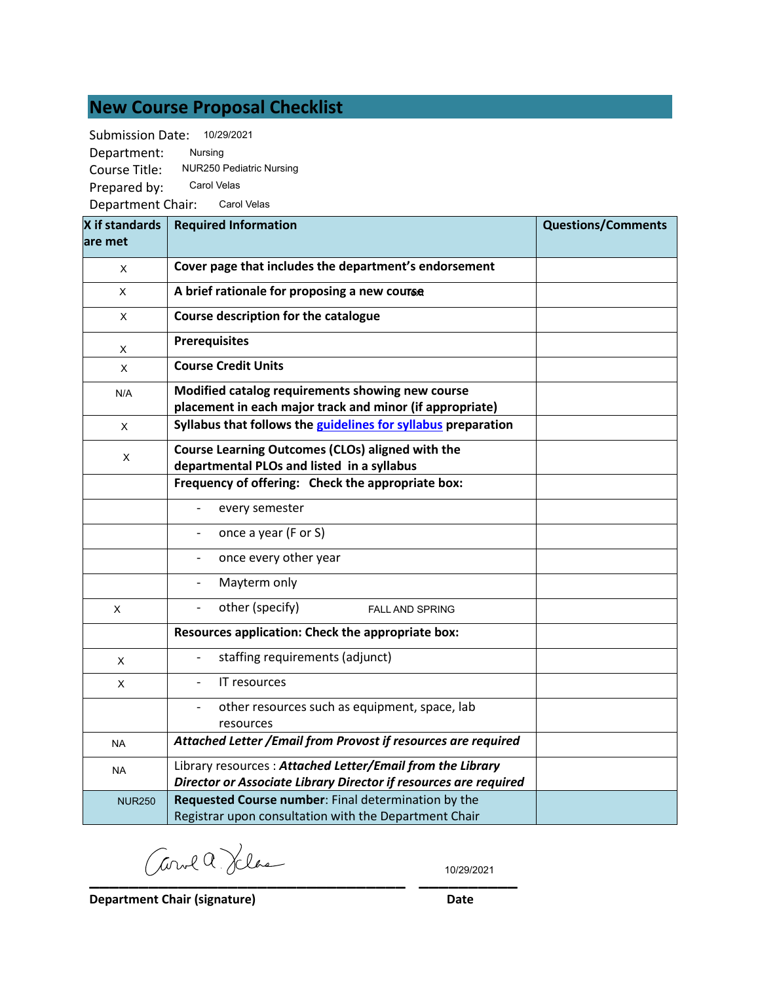# **New Course Proposal Checklist**

Submission Date: 10/29/2021

Department: Course Title: Prepared by: Department Chair: Carol Velas Nursing NUR250 Pediatric Nursing Carol Velas

| X if standards | <b>Required Information</b>                                                                                                   | <b>Questions/Comments</b> |
|----------------|-------------------------------------------------------------------------------------------------------------------------------|---------------------------|
| lare met       |                                                                                                                               |                           |
| X              | Cover page that includes the department's endorsement                                                                         |                           |
| X              | A brief rationale for proposing a new course                                                                                  |                           |
| X              | Course description for the catalogue                                                                                          |                           |
| X              | <b>Prerequisites</b>                                                                                                          |                           |
| X              | <b>Course Credit Units</b>                                                                                                    |                           |
| N/A            | Modified catalog requirements showing new course<br>placement in each major track and minor (if appropriate)                  |                           |
| X              | Syllabus that follows the guidelines for syllabus preparation                                                                 |                           |
| X              | Course Learning Outcomes (CLOs) aligned with the<br>departmental PLOs and listed in a syllabus                                |                           |
|                | Frequency of offering: Check the appropriate box:                                                                             |                           |
|                | every semester                                                                                                                |                           |
|                | once a year (F or S)                                                                                                          |                           |
|                | once every other year                                                                                                         |                           |
|                | Mayterm only                                                                                                                  |                           |
| X              | other (specify)<br><b>FALL AND SPRING</b>                                                                                     |                           |
|                | Resources application: Check the appropriate box:                                                                             |                           |
| $\mathsf X$    | staffing requirements (adjunct)                                                                                               |                           |
| X              | IT resources<br>$\overline{a}$                                                                                                |                           |
|                | other resources such as equipment, space, lab<br>resources                                                                    |                           |
| <b>NA</b>      | Attached Letter / Email from Provost if resources are required                                                                |                           |
| <b>NA</b>      | Library resources: Attached Letter/Email from the Library<br>Director or Associate Library Director if resources are required |                           |
| <b>NUR250</b>  | Requested Course number: Final determination by the<br>Registrar upon consultation with the Department Chair                  |                           |

**\_\_\_\_\_\_\_\_\_\_\_\_\_\_\_\_\_\_\_\_\_\_\_\_\_\_\_\_\_\_\_\_ \_\_\_\_\_\_\_\_\_\_**

10/29/2021

**Department Chair (signature) Date**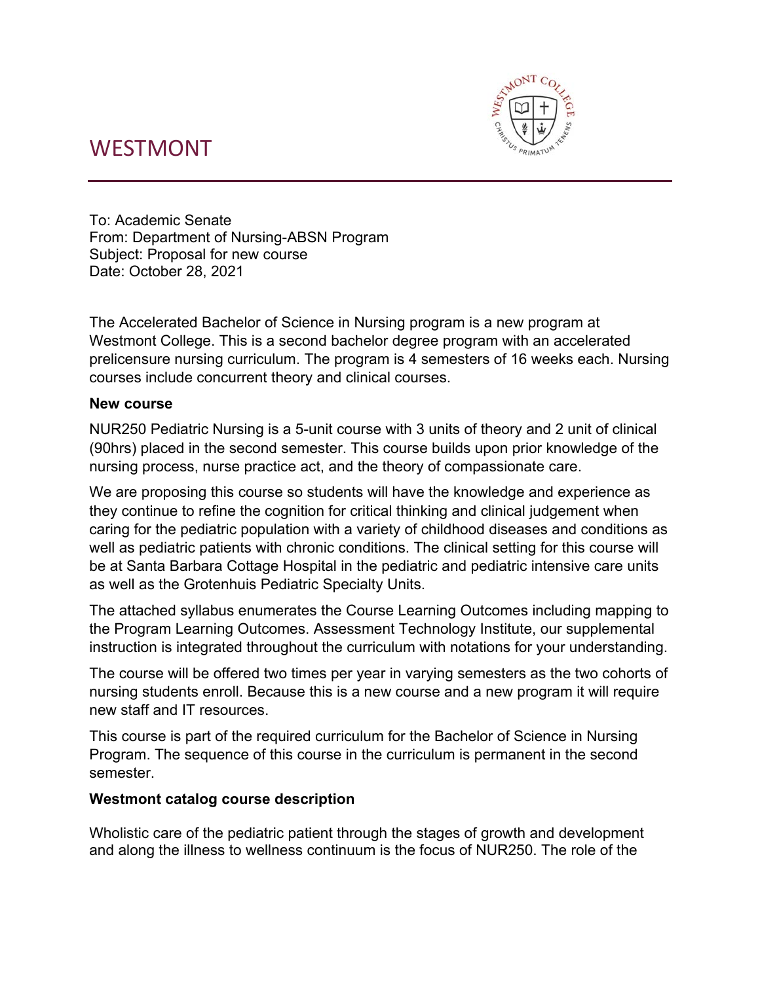# WESTMONT



To: Academic Senate From: Department of Nursing-ABSN Program Subject: Proposal for new course Date: October 28, 2021

The Accelerated Bachelor of Science in Nursing program is a new program at Westmont College. This is a second bachelor degree program with an accelerated prelicensure nursing curriculum. The program is 4 semesters of 16 weeks each. Nursing courses include concurrent theory and clinical courses.

## **New course**

NUR250 Pediatric Nursing is a 5-unit course with 3 units of theory and 2 unit of clinical (90hrs) placed in the second semester. This course builds upon prior knowledge of the nursing process, nurse practice act, and the theory of compassionate care.

We are proposing this course so students will have the knowledge and experience as they continue to refine the cognition for critical thinking and clinical judgement when caring for the pediatric population with a variety of childhood diseases and conditions as well as pediatric patients with chronic conditions. The clinical setting for this course will be at Santa Barbara Cottage Hospital in the pediatric and pediatric intensive care units as well as the Grotenhuis Pediatric Specialty Units.

The attached syllabus enumerates the Course Learning Outcomes including mapping to the Program Learning Outcomes. Assessment Technology Institute, our supplemental instruction is integrated throughout the curriculum with notations for your understanding.

The course will be offered two times per year in varying semesters as the two cohorts of nursing students enroll. Because this is a new course and a new program it will require new staff and IT resources.

This course is part of the required curriculum for the Bachelor of Science in Nursing Program. The sequence of this course in the curriculum is permanent in the second semester.

## **Westmont catalog course description**

Wholistic care of the pediatric patient through the stages of growth and development and along the illness to wellness continuum is the focus of NUR250. The role of the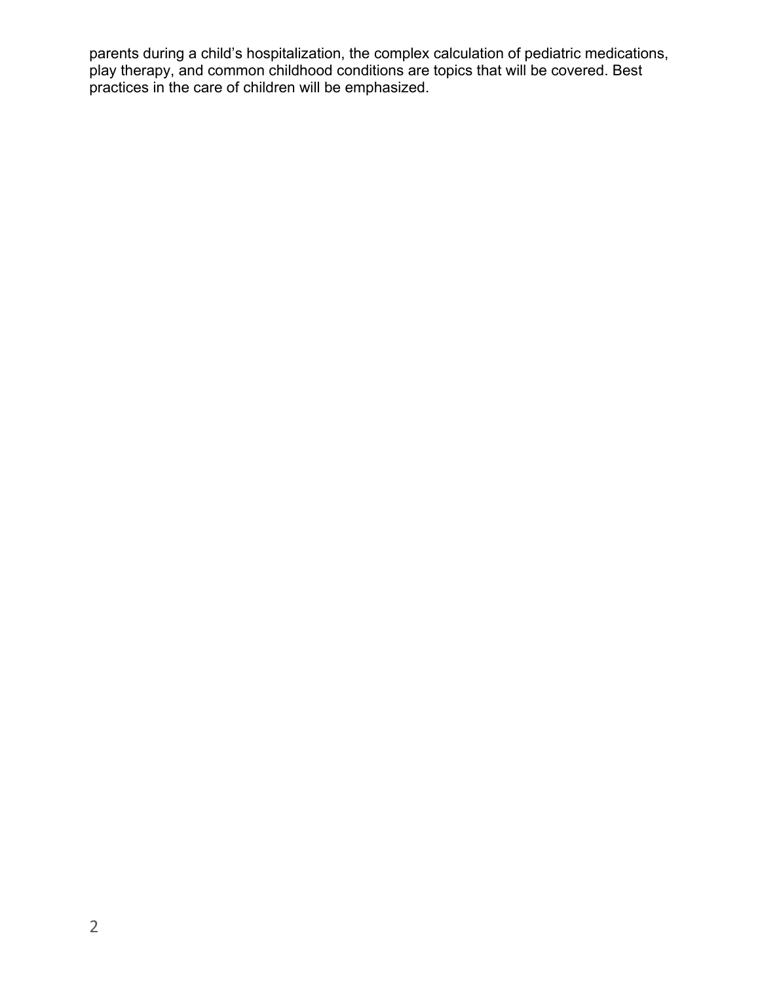parents during a child's hospitalization, the complex calculation of pediatric medications, play therapy, and common childhood conditions are topics that will be covered. Best practices in the care of children will be emphasized.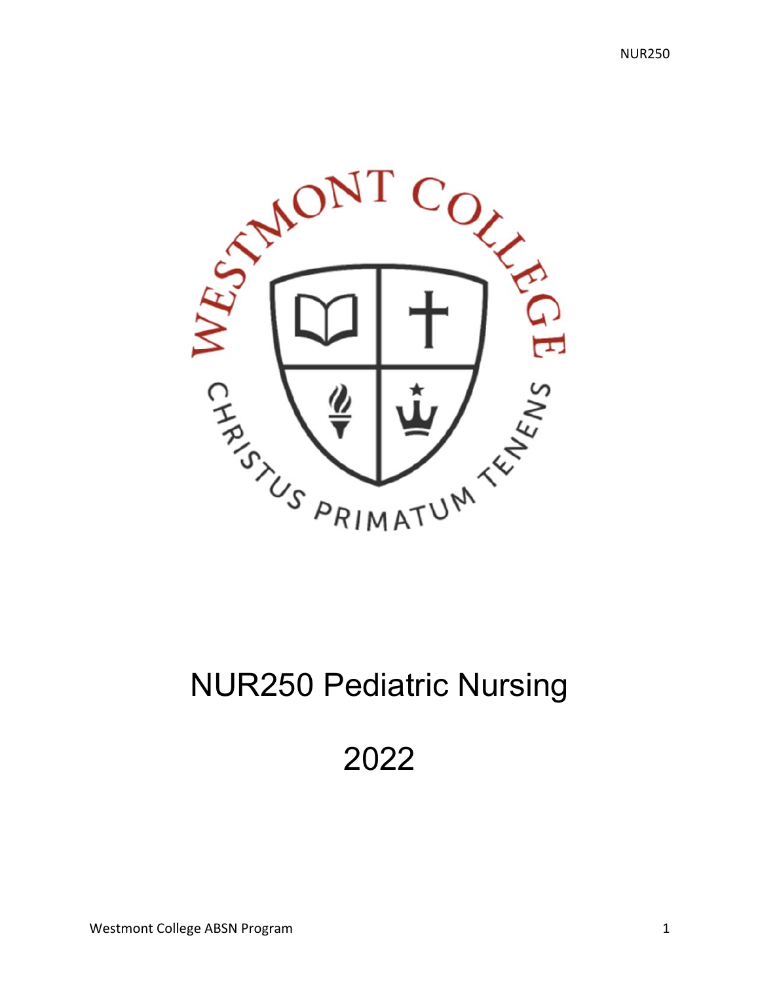

# NUR250 Pediatric Nursing

# 2022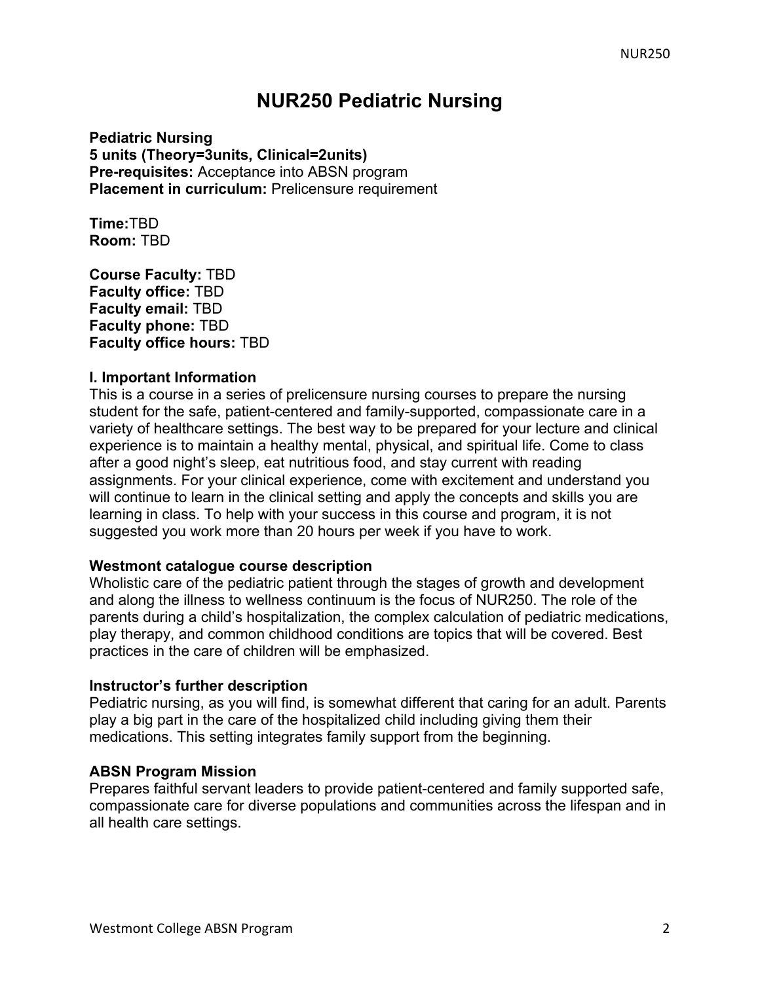# **NUR250 Pediatric Nursing**

**Pediatric Nursing 5 units (Theory=3units, Clinical=2units) Pre-requisites:** Acceptance into ABSN program **Placement in curriculum: Prelicensure requirement** 

**Time:**TBD **Room:** TBD

**Course Faculty:** TBD **Faculty office:** TBD **Faculty email:** TBD **Faculty phone:** TBD **Faculty office hours:** TBD

### **I. Important Information**

This is a course in a series of prelicensure nursing courses to prepare the nursing student for the safe, patient-centered and family-supported, compassionate care in a variety of healthcare settings. The best way to be prepared for your lecture and clinical experience is to maintain a healthy mental, physical, and spiritual life. Come to class after a good night's sleep, eat nutritious food, and stay current with reading assignments. For your clinical experience, come with excitement and understand you will continue to learn in the clinical setting and apply the concepts and skills you are learning in class. To help with your success in this course and program, it is not suggested you work more than 20 hours per week if you have to work.

### **Westmont catalogue course description**

Wholistic care of the pediatric patient through the stages of growth and development and along the illness to wellness continuum is the focus of NUR250. The role of the parents during a child's hospitalization, the complex calculation of pediatric medications, play therapy, and common childhood conditions are topics that will be covered. Best practices in the care of children will be emphasized.

#### **Instructor's further description**

Pediatric nursing, as you will find, is somewhat different that caring for an adult. Parents play a big part in the care of the hospitalized child including giving them their medications. This setting integrates family support from the beginning.

#### **ABSN Program Mission**

Prepares faithful servant leaders to provide patient-centered and family supported safe, compassionate care for diverse populations and communities across the lifespan and in all health care settings.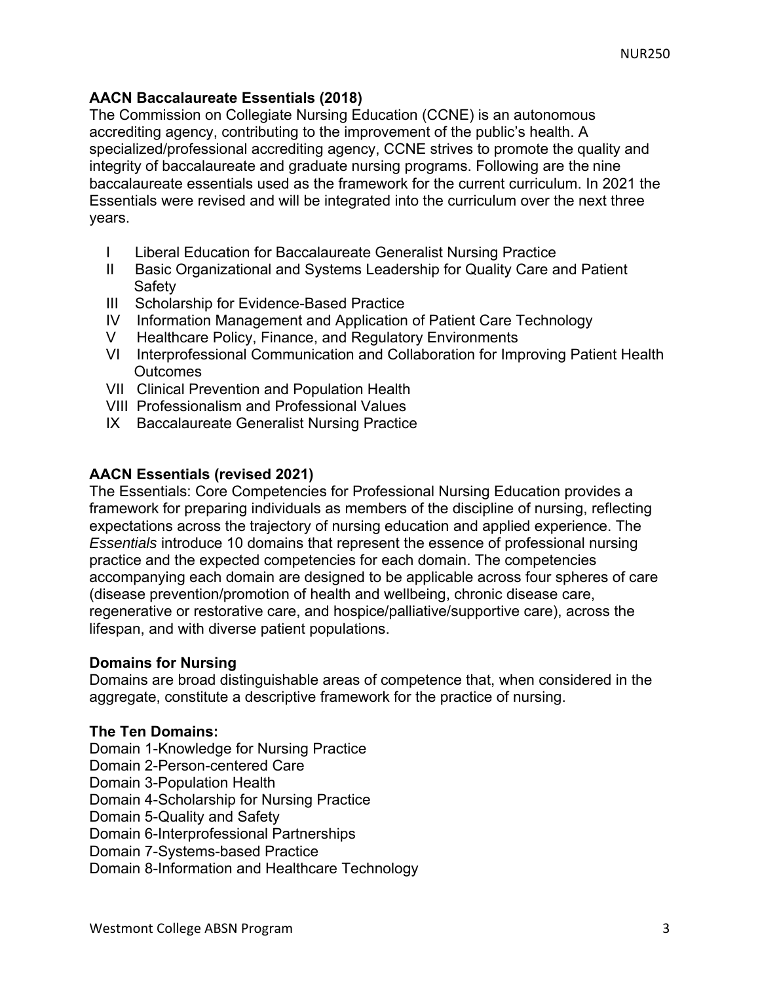## **AACN Baccalaureate Essentials (2018)**

The Commission on Collegiate Nursing Education (CCNE) is an autonomous accrediting agency, contributing to the improvement of the public's health. A specialized/professional accrediting agency, CCNE strives to promote the quality and integrity of baccalaureate and graduate nursing programs. Following are the nine baccalaureate essentials used as the framework for the current curriculum. In 2021 the Essentials were revised and will be integrated into the curriculum over the next three years.

- I Liberal Education for Baccalaureate Generalist Nursing Practice
- II Basic Organizational and Systems Leadership for Quality Care and Patient **Safety**
- III Scholarship for Evidence-Based Practice
- IV Information Management and Application of Patient Care Technology
- V Healthcare Policy, Finance, and Regulatory Environments
- VI Interprofessional Communication and Collaboration for Improving Patient Health **Outcomes**
- VII Clinical Prevention and Population Health
- VIII Professionalism and Professional Values
- IX Baccalaureate Generalist Nursing Practice

## **AACN Essentials (revised 2021)**

The Essentials: Core Competencies for Professional Nursing Education provides a framework for preparing individuals as members of the discipline of nursing, reflecting expectations across the trajectory of nursing education and applied experience. The *Essentials* introduce 10 domains that represent the essence of professional nursing practice and the expected competencies for each domain. The competencies accompanying each domain are designed to be applicable across four spheres of care (disease prevention/promotion of health and wellbeing, chronic disease care, regenerative or restorative care, and hospice/palliative/supportive care), across the lifespan, and with diverse patient populations.

## **Domains for Nursing**

Domains are broad distinguishable areas of competence that, when considered in the aggregate, constitute a descriptive framework for the practice of nursing.

## **The Ten Domains:**

Domain 1-Knowledge for Nursing Practice

- Domain 2-Person-centered Care
- Domain 3-Population Health

Domain 4-Scholarship for Nursing Practice

Domain 5-Quality and Safety

Domain 6-Interprofessional Partnerships

Domain 7-Systems-based Practice

Domain 8-Information and Healthcare Technology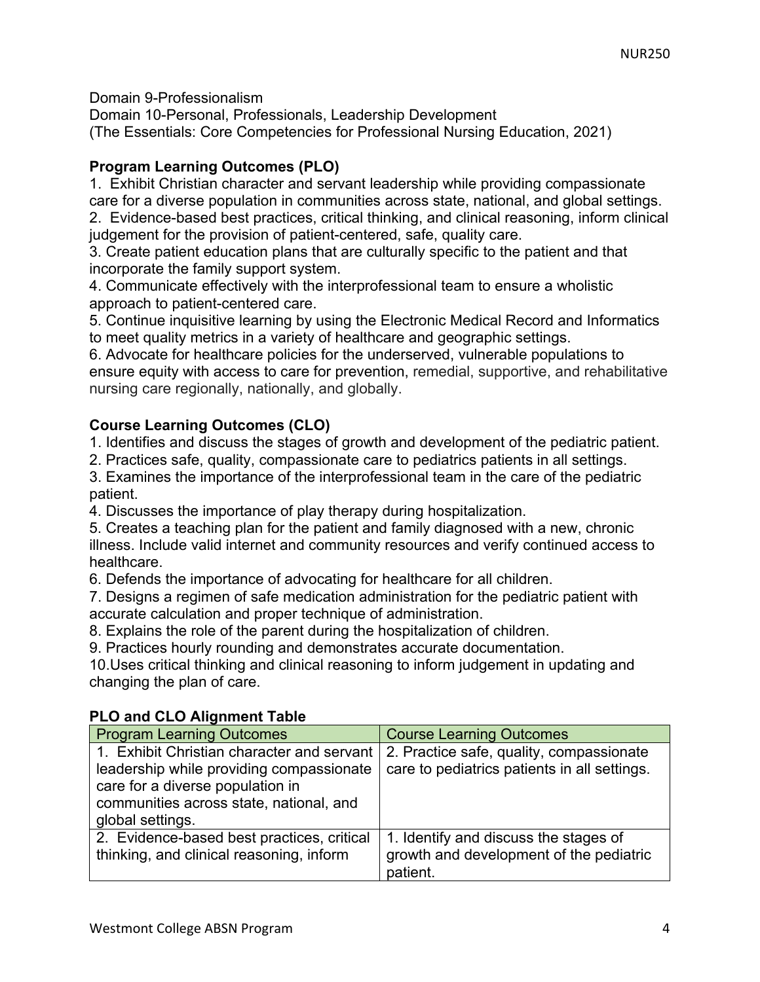Domain 9-Professionalism

Domain 10-Personal, Professionals, Leadership Development (The Essentials: Core Competencies for Professional Nursing Education, 2021)

# **Program Learning Outcomes (PLO)**

1. Exhibit Christian character and servant leadership while providing compassionate care for a diverse population in communities across state, national, and global settings.

2. Evidence-based best practices, critical thinking, and clinical reasoning, inform clinical judgement for the provision of patient-centered, safe, quality care.

3. Create patient education plans that are culturally specific to the patient and that incorporate the family support system.

4. Communicate effectively with the interprofessional team to ensure a wholistic approach to patient-centered care.

5. Continue inquisitive learning by using the Electronic Medical Record and Informatics to meet quality metrics in a variety of healthcare and geographic settings.

6. Advocate for healthcare policies for the underserved, vulnerable populations to ensure equity with access to care for prevention, remedial, supportive, and rehabilitative nursing care regionally, nationally, and globally.

# **Course Learning Outcomes (CLO)**

1. Identifies and discuss the stages of growth and development of the pediatric patient.

2. Practices safe, quality, compassionate care to pediatrics patients in all settings.

3. Examines the importance of the interprofessional team in the care of the pediatric patient.

4. Discusses the importance of play therapy during hospitalization.

5. Creates a teaching plan for the patient and family diagnosed with a new, chronic illness. Include valid internet and community resources and verify continued access to healthcare.

6. Defends the importance of advocating for healthcare for all children.

7. Designs a regimen of safe medication administration for the pediatric patient with accurate calculation and proper technique of administration.

8. Explains the role of the parent during the hospitalization of children.

9. Practices hourly rounding and demonstrates accurate documentation.

10.Uses critical thinking and clinical reasoning to inform judgement in updating and changing the plan of care.

# **PLO and CLO Alignment Table**

| <b>Program Learning Outcomes</b>                                                                                                                                                          | <b>Course Learning Outcomes</b>                                                              |
|-------------------------------------------------------------------------------------------------------------------------------------------------------------------------------------------|----------------------------------------------------------------------------------------------|
| 1. Exhibit Christian character and servant<br>leadership while providing compassionate<br>care for a diverse population in<br>communities across state, national, and<br>global settings. | 2. Practice safe, quality, compassionate<br>care to pediatrics patients in all settings.     |
| 2. Evidence-based best practices, critical<br>thinking, and clinical reasoning, inform                                                                                                    | 1. Identify and discuss the stages of<br>growth and development of the pediatric<br>patient. |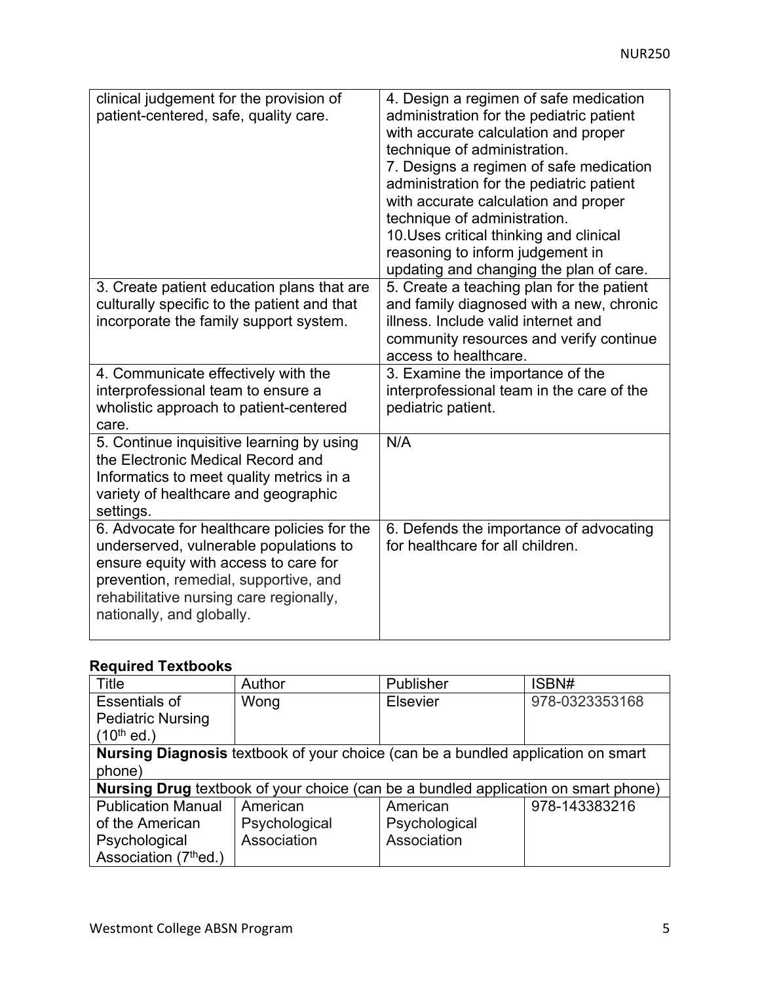| clinical judgement for the provision of<br>patient-centered, safe, quality care.                                                                                                                                                                | 4. Design a regimen of safe medication<br>administration for the pediatric patient<br>with accurate calculation and proper<br>technique of administration.<br>7. Designs a regimen of safe medication<br>administration for the pediatric patient<br>with accurate calculation and proper<br>technique of administration.<br>10. Uses critical thinking and clinical<br>reasoning to inform judgement in<br>updating and changing the plan of care. |
|-------------------------------------------------------------------------------------------------------------------------------------------------------------------------------------------------------------------------------------------------|-----------------------------------------------------------------------------------------------------------------------------------------------------------------------------------------------------------------------------------------------------------------------------------------------------------------------------------------------------------------------------------------------------------------------------------------------------|
| 3. Create patient education plans that are<br>culturally specific to the patient and that<br>incorporate the family support system.                                                                                                             | 5. Create a teaching plan for the patient<br>and family diagnosed with a new, chronic<br>illness. Include valid internet and<br>community resources and verify continue<br>access to healthcare.                                                                                                                                                                                                                                                    |
| 4. Communicate effectively with the<br>interprofessional team to ensure a<br>wholistic approach to patient-centered<br>care.                                                                                                                    | 3. Examine the importance of the<br>interprofessional team in the care of the<br>pediatric patient.                                                                                                                                                                                                                                                                                                                                                 |
| 5. Continue inquisitive learning by using<br>the Electronic Medical Record and<br>Informatics to meet quality metrics in a<br>variety of healthcare and geographic<br>settings.                                                                 | N/A                                                                                                                                                                                                                                                                                                                                                                                                                                                 |
| 6. Advocate for healthcare policies for the<br>underserved, vulnerable populations to<br>ensure equity with access to care for<br>prevention, remedial, supportive, and<br>rehabilitative nursing care regionally,<br>nationally, and globally. | 6. Defends the importance of advocating<br>for healthcare for all children.                                                                                                                                                                                                                                                                                                                                                                         |

# **Required Textbooks**

| Title                     | Author                                                                                    | Publisher       | ISBN#          |
|---------------------------|-------------------------------------------------------------------------------------------|-----------------|----------------|
| <b>Essentials of</b>      | Wong                                                                                      | <b>Elsevier</b> | 978-0323353168 |
| <b>Pediatric Nursing</b>  |                                                                                           |                 |                |
| $(10^{th}$ ed.)           |                                                                                           |                 |                |
|                           | <b>Nursing Diagnosis</b> textbook of your choice (can be a bundled application on smart   |                 |                |
| phone)                    |                                                                                           |                 |                |
|                           | <b>Nursing Drug</b> textbook of your choice (can be a bundled application on smart phone) |                 |                |
| <b>Publication Manual</b> | American                                                                                  | American        | 978-143383216  |
| of the American           | Psychological                                                                             | Psychological   |                |
| Psychological             | Association                                                                               | Association     |                |
| Association (7thed.)      |                                                                                           |                 |                |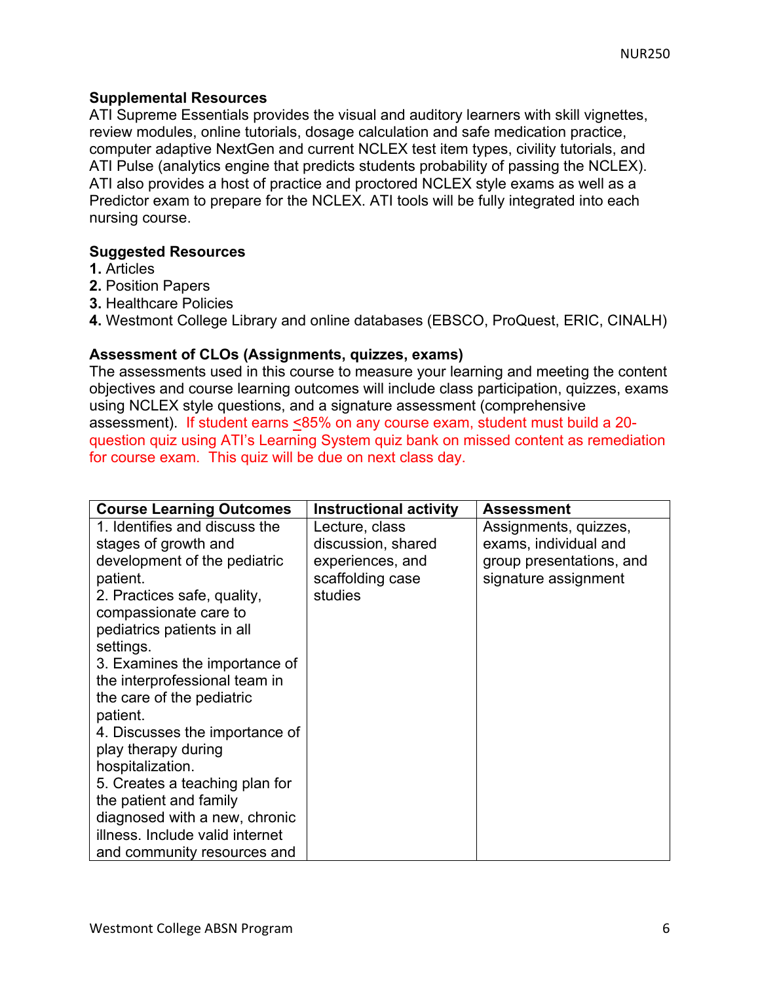## **Supplemental Resources**

ATI Supreme Essentials provides the visual and auditory learners with skill vignettes, review modules, online tutorials, dosage calculation and safe medication practice, computer adaptive NextGen and current NCLEX test item types, civility tutorials, and ATI Pulse (analytics engine that predicts students probability of passing the NCLEX). ATI also provides a host of practice and proctored NCLEX style exams as well as a Predictor exam to prepare for the NCLEX. ATI tools will be fully integrated into each nursing course.

## **Suggested Resources**

- **1.** Articles
- **2.** Position Papers
- **3.** Healthcare Policies
- **4.** Westmont College Library and online databases (EBSCO, ProQuest, ERIC, CINALH)

## **Assessment of CLOs (Assignments, quizzes, exams)**

The assessments used in this course to measure your learning and meeting the content objectives and course learning outcomes will include class participation, quizzes, exams using NCLEX style questions, and a signature assessment (comprehensive assessment). If student earns <85% on any course exam, student must build a 20 question quiz using ATI's Learning System quiz bank on missed content as remediation for course exam. This quiz will be due on next class day.

| <b>Course Learning Outcomes</b> | <b>Instructional activity</b> | <b>Assessment</b>        |
|---------------------------------|-------------------------------|--------------------------|
| 1. Identifies and discuss the   | Lecture, class                | Assignments, quizzes,    |
| stages of growth and            | discussion, shared            | exams, individual and    |
| development of the pediatric    | experiences, and              | group presentations, and |
| patient.                        | scaffolding case              | signature assignment     |
| 2. Practices safe, quality,     | studies                       |                          |
| compassionate care to           |                               |                          |
| pediatrics patients in all      |                               |                          |
| settings.                       |                               |                          |
| 3. Examines the importance of   |                               |                          |
| the interprofessional team in   |                               |                          |
| the care of the pediatric       |                               |                          |
| patient.                        |                               |                          |
| 4. Discusses the importance of  |                               |                          |
| play therapy during             |                               |                          |
| hospitalization.                |                               |                          |
| 5. Creates a teaching plan for  |                               |                          |
| the patient and family          |                               |                          |
| diagnosed with a new, chronic   |                               |                          |
| illness. Include valid internet |                               |                          |
| and community resources and     |                               |                          |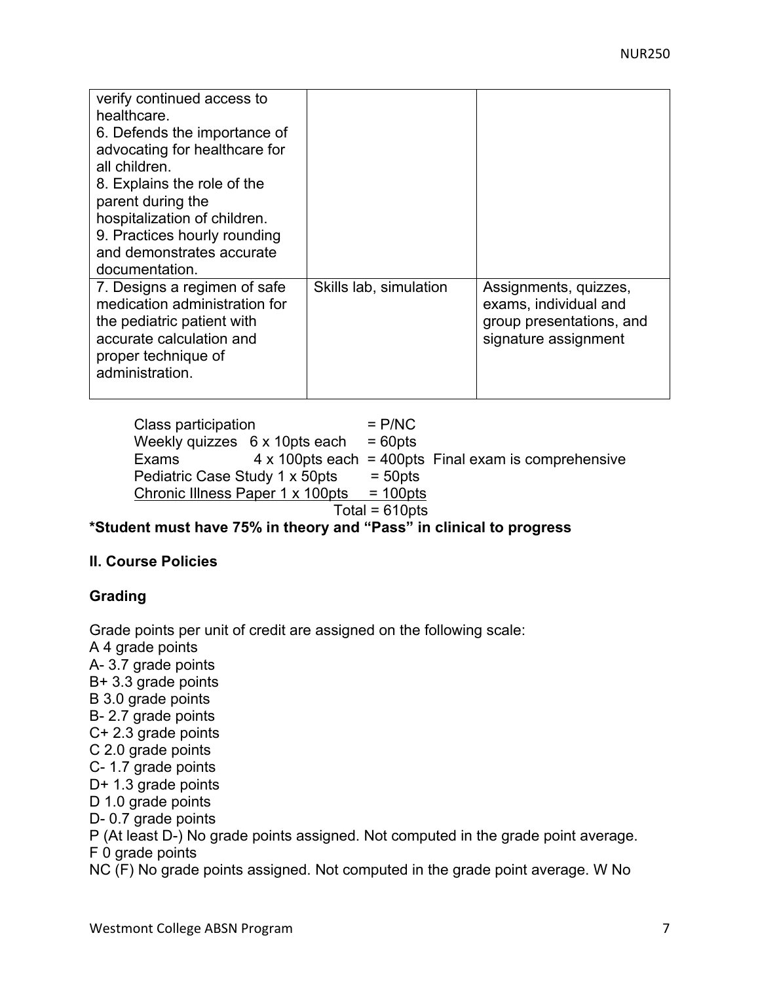| verify continued access to<br>healthcare.<br>6. Defends the importance of<br>advocating for healthcare for<br>all children.<br>8. Explains the role of the<br>parent during the<br>hospitalization of children.<br>9. Practices hourly rounding<br>and demonstrates accurate<br>documentation. |                        |                                                                                                    |
|------------------------------------------------------------------------------------------------------------------------------------------------------------------------------------------------------------------------------------------------------------------------------------------------|------------------------|----------------------------------------------------------------------------------------------------|
| 7. Designs a regimen of safe<br>medication administration for<br>the pediatric patient with<br>accurate calculation and<br>proper technique of<br>administration.                                                                                                                              | Skills lab, simulation | Assignments, quizzes,<br>exams, individual and<br>group presentations, and<br>signature assignment |

Class participation = P/NC Weekly quizzes  $6 \times 10$ pts each = 60pts Exams  $4 \times 100$  pts each = 400 pts Final exam is comprehensive Pediatric Case Study 1 x 50pts  $=$  50pts Chronic Illness Paper 1 x 100pts  $= 100$ pts  $Total = 610pts$ 

## **\*Student must have 75% in theory and "Pass" in clinical to progress**

## **II. Course Policies**

# **Grading**

Grade points per unit of credit are assigned on the following scale: A 4 grade points A- 3.7 grade points B+ 3.3 grade points B 3.0 grade points B- 2.7 grade points C+ 2.3 grade points C 2.0 grade points C- 1.7 grade points D+ 1.3 grade points D 1.0 grade points D- 0.7 grade points P (At least D-) No grade points assigned. Not computed in the grade point average. F 0 grade points NC (F) No grade points assigned. Not computed in the grade point average. W No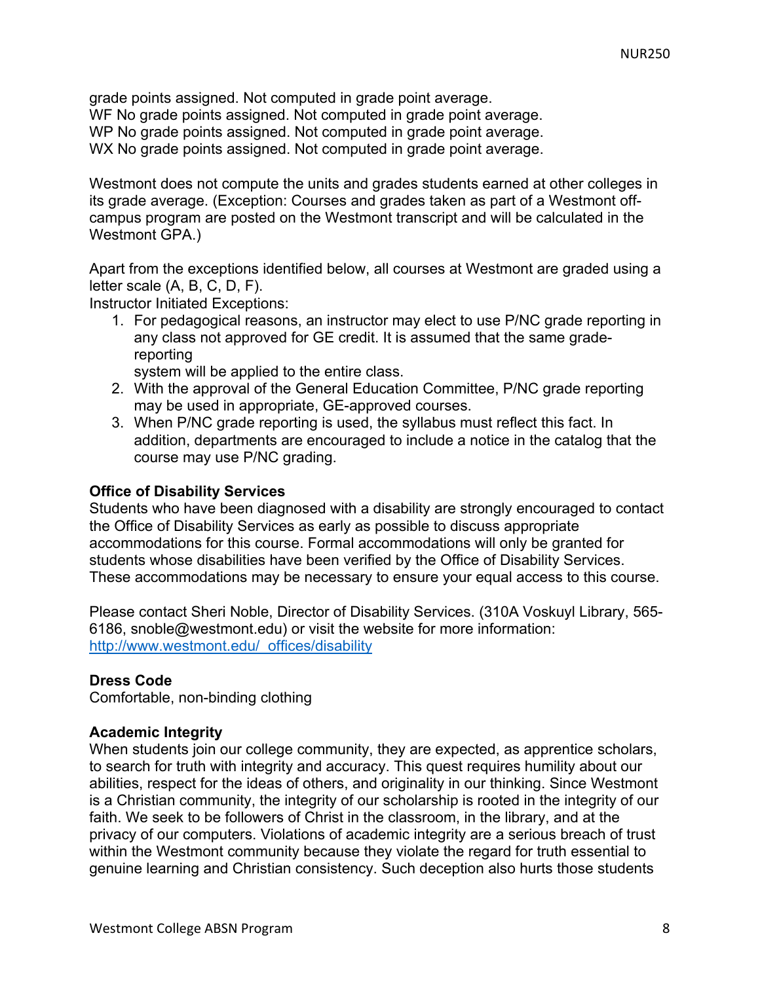grade points assigned. Not computed in grade point average.

WF No grade points assigned. Not computed in grade point average.

WP No grade points assigned. Not computed in grade point average.

WX No grade points assigned. Not computed in grade point average.

Westmont does not compute the units and grades students earned at other colleges in its grade average. (Exception: Courses and grades taken as part of a Westmont offcampus program are posted on the Westmont transcript and will be calculated in the Westmont GPA.)

Apart from the exceptions identified below, all courses at Westmont are graded using a letter scale (A, B, C, D, F).

Instructor Initiated Exceptions:

1. For pedagogical reasons, an instructor may elect to use P/NC grade reporting in any class not approved for GE credit. It is assumed that the same gradereporting

system will be applied to the entire class.

- 2. With the approval of the General Education Committee, P/NC grade reporting may be used in appropriate, GE-approved courses.
- 3. When P/NC grade reporting is used, the syllabus must reflect this fact. In addition, departments are encouraged to include a notice in the catalog that the course may use P/NC grading.

## **Office of Disability Services**

Students who have been diagnosed with a disability are strongly encouraged to contact the Office of Disability Services as early as possible to discuss appropriate accommodations for this course. Formal accommodations will only be granted for students whose disabilities have been verified by the Office of Disability Services. These accommodations may be necessary to ensure your equal access to this course.

Please contact Sheri Noble, Director of Disability Services. (310A Voskuyl Library, 565- 6186, snoble@westmont.edu) or visit the website for more information: http://www.westmont.edu/\_offices/disability

## **Dress Code**

Comfortable, non-binding clothing

## **Academic Integrity**

When students join our college community, they are expected, as apprentice scholars, to search for truth with integrity and accuracy. This quest requires humility about our abilities, respect for the ideas of others, and originality in our thinking. Since Westmont is a Christian community, the integrity of our scholarship is rooted in the integrity of our faith. We seek to be followers of Christ in the classroom, in the library, and at the privacy of our computers. Violations of academic integrity are a serious breach of trust within the Westmont community because they violate the regard for truth essential to genuine learning and Christian consistency. Such deception also hurts those students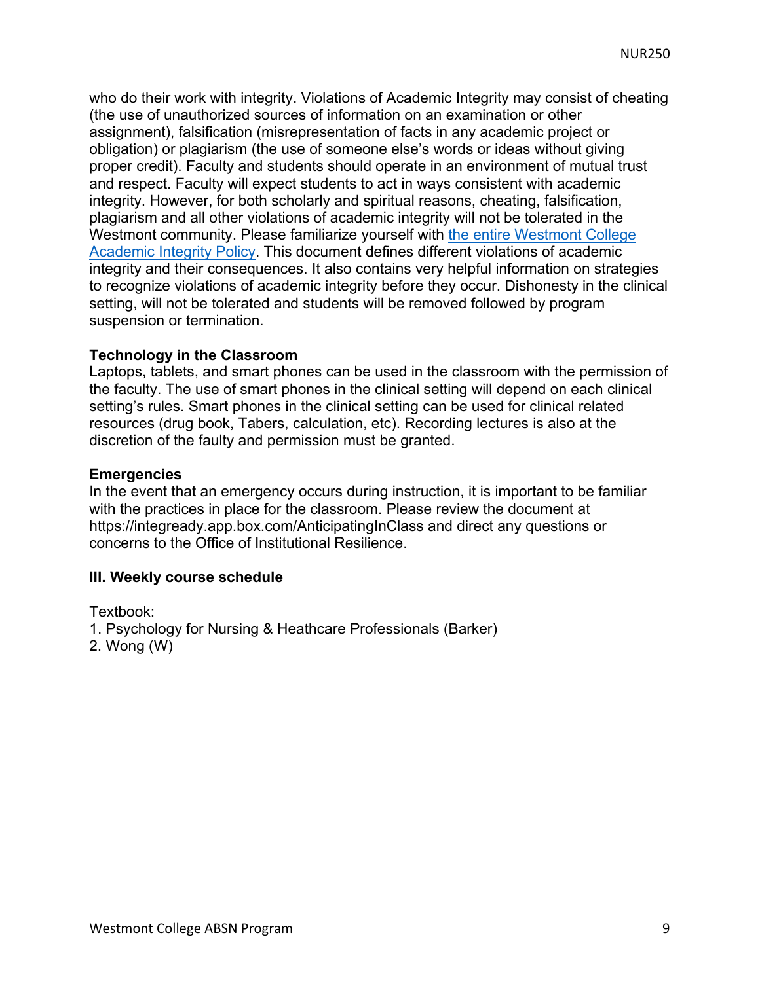who do their work with integrity. Violations of Academic Integrity may consist of cheating (the use of unauthorized sources of information on an examination or other assignment), falsification (misrepresentation of facts in any academic project or obligation) or plagiarism (the use of someone else's words or ideas without giving proper credit). Faculty and students should operate in an environment of mutual trust and respect. Faculty will expect students to act in ways consistent with academic integrity. However, for both scholarly and spiritual reasons, cheating, falsification, plagiarism and all other violations of academic integrity will not be tolerated in the Westmont community. Please familiarize yourself with the entire Westmont College Academic Integrity Policy. This document defines different violations of academic integrity and their consequences. It also contains very helpful information on strategies to recognize violations of academic integrity before they occur. Dishonesty in the clinical setting, will not be tolerated and students will be removed followed by program suspension or termination.

## **Technology in the Classroom**

Laptops, tablets, and smart phones can be used in the classroom with the permission of the faculty. The use of smart phones in the clinical setting will depend on each clinical setting's rules. Smart phones in the clinical setting can be used for clinical related resources (drug book, Tabers, calculation, etc). Recording lectures is also at the discretion of the faulty and permission must be granted.

#### **Emergencies**

In the event that an emergency occurs during instruction, it is important to be familiar with the practices in place for the classroom. Please review the document at https://integready.app.box.com/AnticipatingInClass and direct any questions or concerns to the Office of Institutional Resilience.

#### **III. Weekly course schedule**

Textbook:

- 1. Psychology for Nursing & Heathcare Professionals (Barker)
- 2. Wong (W)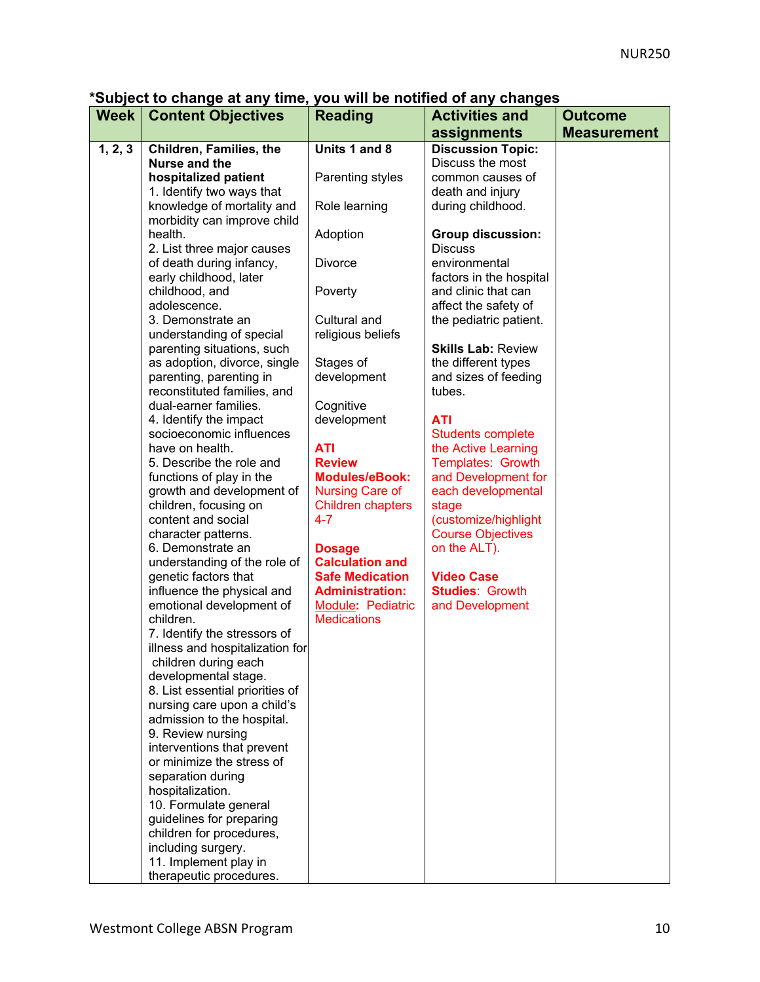**\*Subject to change at any time, you will be notified of any changes** 

| <b>Week</b> | <b>Content Objectives</b>                               | <b>Reading</b>           | <b>Activities and</b>                       | <b>Outcome</b>     |
|-------------|---------------------------------------------------------|--------------------------|---------------------------------------------|--------------------|
|             |                                                         |                          | assignments                                 | <b>Measurement</b> |
| 1, 2, 3     | Children, Families, the                                 | Units 1 and 8            | <b>Discussion Topic:</b>                    |                    |
|             | Nurse and the                                           |                          | Discuss the most                            |                    |
|             | hospitalized patient                                    | Parenting styles         | common causes of                            |                    |
|             | 1. Identify two ways that                               |                          | death and injury                            |                    |
|             | knowledge of mortality and                              | Role learning            | during childhood.                           |                    |
|             | morbidity can improve child                             |                          |                                             |                    |
|             | health.                                                 | Adoption                 | <b>Group discussion:</b>                    |                    |
|             | 2. List three major causes                              |                          | <b>Discuss</b>                              |                    |
|             | of death during infancy,                                | <b>Divorce</b>           | environmental                               |                    |
|             | early childhood, later                                  |                          | factors in the hospital                     |                    |
|             | childhood, and                                          | Poverty                  | and clinic that can                         |                    |
|             | adolescence.                                            |                          | affect the safety of                        |                    |
|             | 3. Demonstrate an                                       | Cultural and             | the pediatric patient.                      |                    |
|             | understanding of special                                | religious beliefs        |                                             |                    |
|             | parenting situations, such                              |                          | <b>Skills Lab: Review</b>                   |                    |
|             | as adoption, divorce, single<br>parenting, parenting in | Stages of<br>development | the different types<br>and sizes of feeding |                    |
|             | reconstituted families, and                             |                          | tubes.                                      |                    |
|             | dual-earner families.                                   | Cognitive                |                                             |                    |
|             | 4. Identify the impact                                  | development              | <b>ATI</b>                                  |                    |
|             | socioeconomic influences                                |                          | <b>Students complete</b>                    |                    |
|             | have on health.                                         | <b>ATI</b>               | the Active Learning                         |                    |
|             | 5. Describe the role and                                | <b>Review</b>            | Templates: Growth                           |                    |
|             | functions of play in the                                | <b>Modules/eBook:</b>    | and Development for                         |                    |
|             | growth and development of                               | <b>Nursing Care of</b>   | each developmental                          |                    |
|             | children, focusing on                                   | <b>Children chapters</b> | stage                                       |                    |
|             | content and social                                      | 4-7                      | (customize/highlight                        |                    |
|             | character patterns.                                     |                          | <b>Course Objectives</b>                    |                    |
|             | 6. Demonstrate an                                       | <b>Dosage</b>            | on the ALT).                                |                    |
|             | understanding of the role of                            | <b>Calculation and</b>   |                                             |                    |
|             | genetic factors that                                    | <b>Safe Medication</b>   | <b>Video Case</b>                           |                    |
|             | influence the physical and                              | <b>Administration:</b>   | <b>Studies: Growth</b>                      |                    |
|             | emotional development of                                | Module: Pediatric        | and Development                             |                    |
|             | children.                                               | <b>Medications</b>       |                                             |                    |
|             | 7. Identify the stressors of                            |                          |                                             |                    |
|             | illness and hospitalization for                         |                          |                                             |                    |
|             | children during each<br>developmental stage.            |                          |                                             |                    |
|             | 8. List essential priorities of                         |                          |                                             |                    |
|             | nursing care upon a child's                             |                          |                                             |                    |
|             | admission to the hospital.                              |                          |                                             |                    |
|             | 9. Review nursing                                       |                          |                                             |                    |
|             | interventions that prevent                              |                          |                                             |                    |
|             | or minimize the stress of                               |                          |                                             |                    |
|             | separation during                                       |                          |                                             |                    |
|             | hospitalization.                                        |                          |                                             |                    |
|             | 10. Formulate general                                   |                          |                                             |                    |
|             | guidelines for preparing                                |                          |                                             |                    |
|             | children for procedures,                                |                          |                                             |                    |
|             | including surgery.                                      |                          |                                             |                    |
|             | 11. Implement play in                                   |                          |                                             |                    |
|             | therapeutic procedures.                                 |                          |                                             |                    |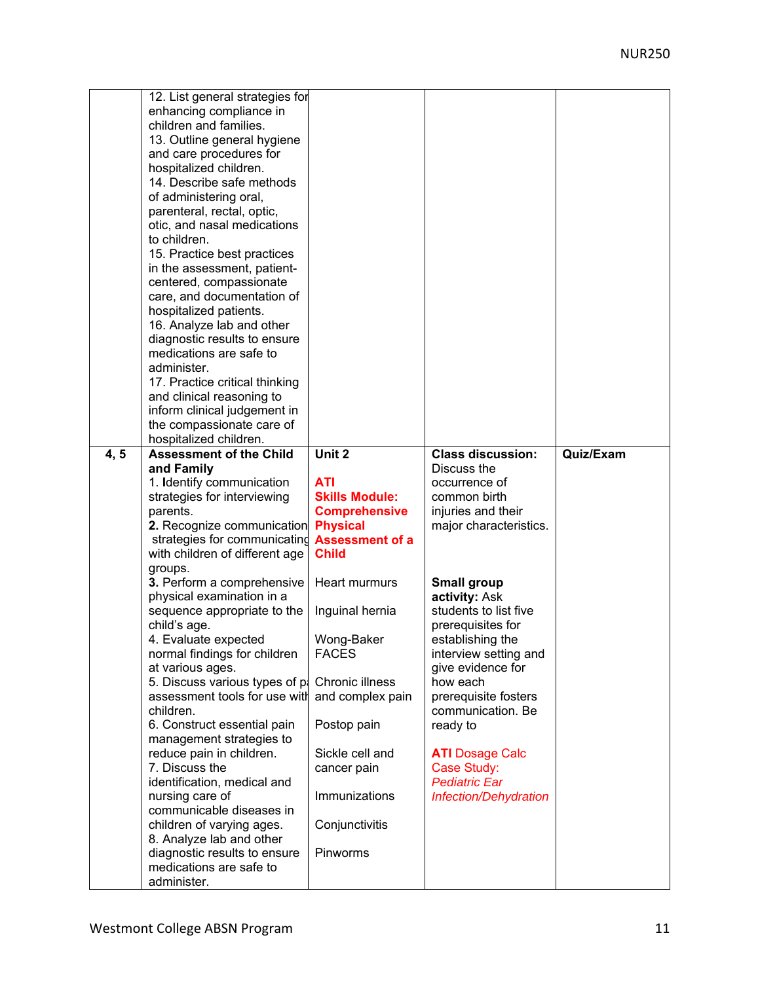| 4, 5 | 12. List general strategies for<br>enhancing compliance in<br>children and families.<br>13. Outline general hygiene<br>and care procedures for<br>hospitalized children.<br>14. Describe safe methods<br>of administering oral,<br>parenteral, rectal, optic,<br>otic, and nasal medications<br>to children.<br>15. Practice best practices<br>in the assessment, patient-<br>centered, compassionate<br>care, and documentation of<br>hospitalized patients.<br>16. Analyze lab and other<br>diagnostic results to ensure<br>medications are safe to<br>administer.<br>17. Practice critical thinking<br>and clinical reasoning to<br>inform clinical judgement in<br>the compassionate care of<br>hospitalized children.<br><b>Assessment of the Child</b><br>and Family | Unit 2                                  | <b>Class discussion:</b><br>Discuss the      | Quiz/Exam |
|------|----------------------------------------------------------------------------------------------------------------------------------------------------------------------------------------------------------------------------------------------------------------------------------------------------------------------------------------------------------------------------------------------------------------------------------------------------------------------------------------------------------------------------------------------------------------------------------------------------------------------------------------------------------------------------------------------------------------------------------------------------------------------------|-----------------------------------------|----------------------------------------------|-----------|
|      | 1. Identify communication<br>strategies for interviewing                                                                                                                                                                                                                                                                                                                                                                                                                                                                                                                                                                                                                                                                                                                   | <b>ATI</b><br><b>Skills Module:</b>     | occurrence of<br>common birth                |           |
|      | parents.<br>2. Recognize communication                                                                                                                                                                                                                                                                                                                                                                                                                                                                                                                                                                                                                                                                                                                                     | <b>Comprehensive</b><br><b>Physical</b> | injuries and their<br>major characteristics. |           |
|      | strategies for communicating <b>Assessment of a</b><br>with children of different age                                                                                                                                                                                                                                                                                                                                                                                                                                                                                                                                                                                                                                                                                      | <b>Child</b>                            |                                              |           |
|      | groups.<br>3. Perform a comprehensive                                                                                                                                                                                                                                                                                                                                                                                                                                                                                                                                                                                                                                                                                                                                      | Heart murmurs                           | <b>Small group</b>                           |           |
|      | physical examination in a<br>sequence appropriate to the                                                                                                                                                                                                                                                                                                                                                                                                                                                                                                                                                                                                                                                                                                                   | Inguinal hernia                         | activity: Ask<br>students to list five       |           |
|      | child's age.                                                                                                                                                                                                                                                                                                                                                                                                                                                                                                                                                                                                                                                                                                                                                               |                                         | prerequisites for                            |           |
|      | 4. Evaluate expected<br>normal findings for children                                                                                                                                                                                                                                                                                                                                                                                                                                                                                                                                                                                                                                                                                                                       | Wong-Baker<br><b>FACES</b>              | establishing the<br>interview setting and    |           |
|      | at various ages.<br>5. Discuss various types of p.                                                                                                                                                                                                                                                                                                                                                                                                                                                                                                                                                                                                                                                                                                                         | Chronic illness                         | give evidence for<br>how each                |           |
|      | assessment tools for use with                                                                                                                                                                                                                                                                                                                                                                                                                                                                                                                                                                                                                                                                                                                                              | and complex pain                        | prerequisite fosters                         |           |
|      | children.<br>6. Construct essential pain<br>management strategies to                                                                                                                                                                                                                                                                                                                                                                                                                                                                                                                                                                                                                                                                                                       | Postop pain                             | communication. Be<br>ready to                |           |
|      | reduce pain in children.                                                                                                                                                                                                                                                                                                                                                                                                                                                                                                                                                                                                                                                                                                                                                   | Sickle cell and                         | <b>ATI</b> Dosage Calc                       |           |
|      | 7. Discuss the<br>identification, medical and                                                                                                                                                                                                                                                                                                                                                                                                                                                                                                                                                                                                                                                                                                                              | cancer pain                             | Case Study:<br><b>Pediatric Ear</b>          |           |
|      | nursing care of<br>communicable diseases in                                                                                                                                                                                                                                                                                                                                                                                                                                                                                                                                                                                                                                                                                                                                | Immunizations                           | Infection/Dehydration                        |           |
|      | children of varying ages.<br>8. Analyze lab and other                                                                                                                                                                                                                                                                                                                                                                                                                                                                                                                                                                                                                                                                                                                      | Conjunctivitis                          |                                              |           |
|      | diagnostic results to ensure                                                                                                                                                                                                                                                                                                                                                                                                                                                                                                                                                                                                                                                                                                                                               | Pinworms                                |                                              |           |
|      | medications are safe to<br>administer.                                                                                                                                                                                                                                                                                                                                                                                                                                                                                                                                                                                                                                                                                                                                     |                                         |                                              |           |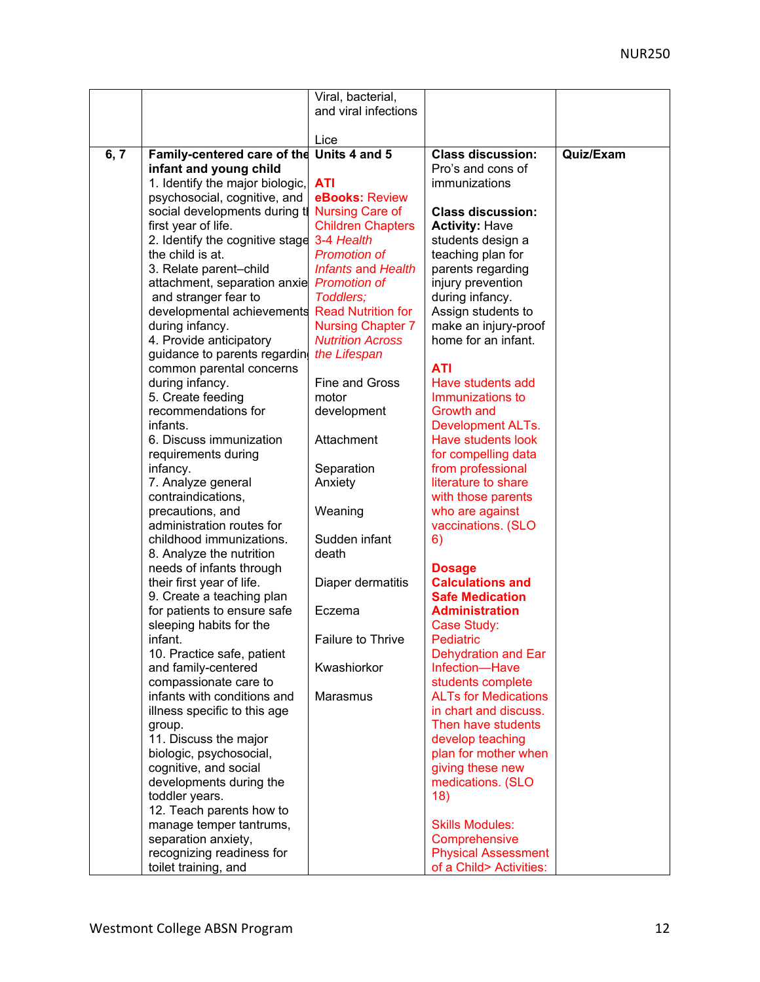|      |                                 | Viral, bacterial,         |                             |           |
|------|---------------------------------|---------------------------|-----------------------------|-----------|
|      |                                 | and viral infections      |                             |           |
|      |                                 |                           |                             |           |
|      |                                 | Lice                      |                             |           |
| 6, 7 | Family-centered care of the     | Units 4 and 5             | <b>Class discussion:</b>    | Quiz/Exam |
|      | infant and young child          |                           | Pro's and cons of           |           |
|      | 1. Identify the major biologic, | <b>ATI</b>                | immunizations               |           |
|      | psychosocial, cognitive, and    | eBooks: Review            |                             |           |
|      | social developments during t    | <b>Nursing Care of</b>    | <b>Class discussion:</b>    |           |
|      | first year of life.             | <b>Children Chapters</b>  | <b>Activity: Have</b>       |           |
|      | 2. Identify the cognitive stage | 3-4 Health                | students design a           |           |
|      | the child is at.                | <b>Promotion of</b>       | teaching plan for           |           |
|      | 3. Relate parent-child          | <b>Infants and Health</b> | parents regarding           |           |
|      | attachment, separation anxie    | <b>Promotion of</b>       | injury prevention           |           |
|      | and stranger fear to            | Toddlers;                 | during infancy.             |           |
|      | developmental achievements      | <b>Read Nutrition for</b> | Assign students to          |           |
|      | during infancy.                 | <b>Nursing Chapter 7</b>  | make an injury-proof        |           |
|      | 4. Provide anticipatory         | <b>Nutrition Across</b>   | home for an infant.         |           |
|      | guidance to parents regardin    | the Lifespan              |                             |           |
|      | common parental concerns        |                           | <b>ATI</b>                  |           |
|      | during infancy.                 | <b>Fine and Gross</b>     | Have students add           |           |
|      | 5. Create feeding               | motor                     | Immunizations to            |           |
|      | recommendations for             | development               | <b>Growth and</b>           |           |
|      | infants.                        |                           | <b>Development ALTs.</b>    |           |
|      | 6. Discuss immunization         | Attachment                | Have students look          |           |
|      | requirements during             |                           | for compelling data         |           |
|      | infancy.                        | Separation                | from professional           |           |
|      | 7. Analyze general              | Anxiety                   | literature to share         |           |
|      | contraindications,              |                           | with those parents          |           |
|      | precautions, and                | Weaning                   | who are against             |           |
|      | administration routes for       |                           | vaccinations. (SLO          |           |
|      | childhood immunizations.        | Sudden infant             | 6)                          |           |
|      | 8. Analyze the nutrition        | death                     |                             |           |
|      | needs of infants through        |                           | <b>Dosage</b>               |           |
|      | their first year of life.       | Diaper dermatitis         | <b>Calculations and</b>     |           |
|      | 9. Create a teaching plan       |                           | <b>Safe Medication</b>      |           |
|      | for patients to ensure safe     | Eczema                    | <b>Administration</b>       |           |
|      | sleeping habits for the         |                           | Case Study:                 |           |
|      | infant.                         | Failure to Thrive         | Pediatric                   |           |
|      | 10. Practice safe, patient      |                           | Dehydration and Ear         |           |
|      | and family-centered             | Kwashiorkor               | Infection-Have              |           |
|      | compassionate care to           |                           | students complete           |           |
|      | infants with conditions and     | Marasmus                  | <b>ALTs for Medications</b> |           |
|      | illness specific to this age    |                           | in chart and discuss.       |           |
|      | group.                          |                           | Then have students          |           |
|      | 11. Discuss the major           |                           | develop teaching            |           |
|      | biologic, psychosocial,         |                           | plan for mother when        |           |
|      | cognitive, and social           |                           | giving these new            |           |
|      | developments during the         |                           | medications. (SLO           |           |
|      | toddler years.                  |                           | 18)                         |           |
|      | 12. Teach parents how to        |                           |                             |           |
|      | manage temper tantrums,         |                           | <b>Skills Modules:</b>      |           |
|      | separation anxiety,             |                           | Comprehensive               |           |
|      | recognizing readiness for       |                           | <b>Physical Assessment</b>  |           |
|      | toilet training, and            |                           | of a Child> Activities:     |           |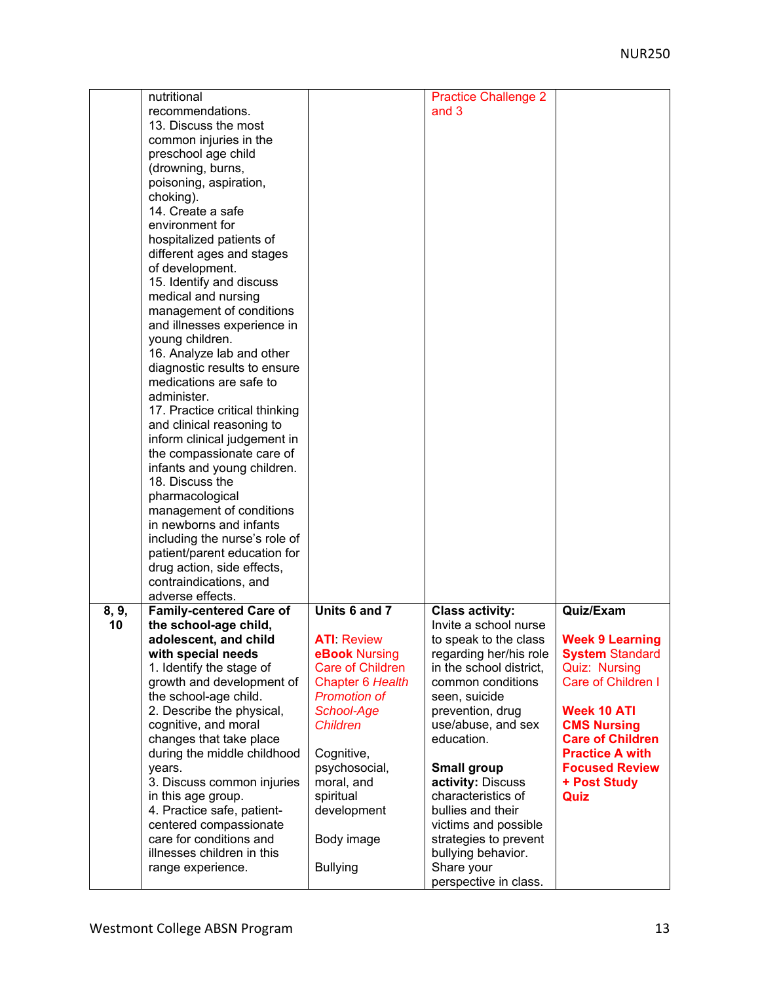|       | nutritional                    |                         | <b>Practice Challenge 2</b> |                         |
|-------|--------------------------------|-------------------------|-----------------------------|-------------------------|
|       | recommendations.               |                         | and 3                       |                         |
|       | 13. Discuss the most           |                         |                             |                         |
|       |                                |                         |                             |                         |
|       | common injuries in the         |                         |                             |                         |
|       | preschool age child            |                         |                             |                         |
|       | (drowning, burns,              |                         |                             |                         |
|       | poisoning, aspiration,         |                         |                             |                         |
|       | choking).                      |                         |                             |                         |
|       | 14. Create a safe              |                         |                             |                         |
|       | environment for                |                         |                             |                         |
|       | hospitalized patients of       |                         |                             |                         |
|       | different ages and stages      |                         |                             |                         |
|       | of development.                |                         |                             |                         |
|       | 15. Identify and discuss       |                         |                             |                         |
|       | medical and nursing            |                         |                             |                         |
|       | management of conditions       |                         |                             |                         |
|       | and illnesses experience in    |                         |                             |                         |
|       |                                |                         |                             |                         |
|       | young children.                |                         |                             |                         |
|       | 16. Analyze lab and other      |                         |                             |                         |
|       | diagnostic results to ensure   |                         |                             |                         |
|       | medications are safe to        |                         |                             |                         |
|       | administer.                    |                         |                             |                         |
|       | 17. Practice critical thinking |                         |                             |                         |
|       | and clinical reasoning to      |                         |                             |                         |
|       | inform clinical judgement in   |                         |                             |                         |
|       | the compassionate care of      |                         |                             |                         |
|       | infants and young children.    |                         |                             |                         |
|       | 18. Discuss the                |                         |                             |                         |
|       | pharmacological                |                         |                             |                         |
|       | management of conditions       |                         |                             |                         |
|       | in newborns and infants        |                         |                             |                         |
|       | including the nurse's role of  |                         |                             |                         |
|       | patient/parent education for   |                         |                             |                         |
|       | drug action, side effects,     |                         |                             |                         |
|       | contraindications, and         |                         |                             |                         |
|       | adverse effects.               |                         |                             |                         |
| 8, 9, | <b>Family-centered Care of</b> | Units 6 and 7           | <b>Class activity:</b>      | Quiz/Exam               |
| 10    | the school-age child,          |                         | Invite a school nurse       |                         |
|       | adolescent, and child          | <b>ATI</b> Review       | to speak to the class       | <b>Week 9 Learning</b>  |
|       | with special needs             | eBook Nursing           | regarding her/his role      | <b>System Standard</b>  |
|       | 1. Identify the stage of       | <b>Care of Children</b> | in the school district,     | <b>Quiz: Nursing</b>    |
|       | growth and development of      | Chapter 6 Health        | common conditions           | Care of Children I      |
|       |                                |                         |                             |                         |
|       | the school-age child.          | <b>Promotion of</b>     | seen, suicide               |                         |
|       | 2. Describe the physical,      | School-Age              | prevention, drug            | <b>Week 10 ATI</b>      |
|       | cognitive, and moral           | <b>Children</b>         | use/abuse, and sex          | <b>CMS Nursing</b>      |
|       | changes that take place        |                         | education.                  | <b>Care of Children</b> |
|       | during the middle childhood    | Cognitive,              |                             | <b>Practice A with</b>  |
|       | years.                         | psychosocial,           | Small group                 | <b>Focused Review</b>   |
|       | 3. Discuss common injuries     | moral, and              | activity: Discuss           | + Post Study            |
|       | in this age group.             | spiritual               | characteristics of          | Quiz                    |
|       | 4. Practice safe, patient-     | development             | bullies and their           |                         |
|       | centered compassionate         |                         | victims and possible        |                         |
|       | care for conditions and        | Body image              | strategies to prevent       |                         |
|       | illnesses children in this     |                         | bullying behavior.          |                         |
|       | range experience.              | <b>Bullying</b>         | Share your                  |                         |
|       |                                |                         | perspective in class.       |                         |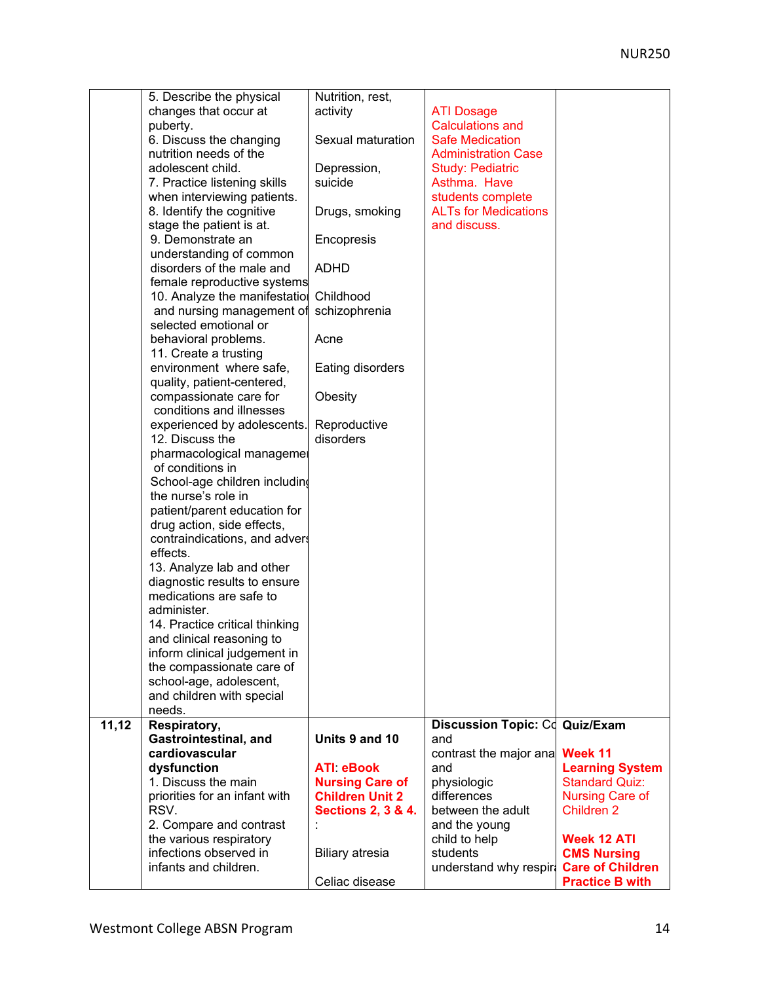|       | 5. Describe the physical                          | Nutrition, rest,              |                             |                                                   |
|-------|---------------------------------------------------|-------------------------------|-----------------------------|---------------------------------------------------|
|       | changes that occur at                             | activity                      | <b>ATI Dosage</b>           |                                                   |
|       | puberty.                                          |                               | <b>Calculations and</b>     |                                                   |
|       | 6. Discuss the changing                           | Sexual maturation             | <b>Safe Medication</b>      |                                                   |
|       | nutrition needs of the                            |                               | <b>Administration Case</b>  |                                                   |
|       | adolescent child.                                 | Depression,                   | <b>Study: Pediatric</b>     |                                                   |
|       | 7. Practice listening skills                      | suicide                       | Asthma. Have                |                                                   |
|       | when interviewing patients.                       |                               | students complete           |                                                   |
|       | 8. Identify the cognitive                         | Drugs, smoking                | <b>ALTs for Medications</b> |                                                   |
|       | stage the patient is at.                          |                               | and discuss.                |                                                   |
|       | 9. Demonstrate an                                 | Encopresis                    |                             |                                                   |
|       | understanding of common                           |                               |                             |                                                   |
|       | disorders of the male and                         | <b>ADHD</b>                   |                             |                                                   |
|       | female reproductive systems                       |                               |                             |                                                   |
|       | 10. Analyze the manifestatio                      | Childhood                     |                             |                                                   |
|       | and nursing management of                         | schizophrenia                 |                             |                                                   |
|       | selected emotional or                             |                               |                             |                                                   |
|       | behavioral problems.                              | Acne                          |                             |                                                   |
|       | 11. Create a trusting                             |                               |                             |                                                   |
|       | environment where safe,                           | Eating disorders              |                             |                                                   |
|       | quality, patient-centered,                        |                               |                             |                                                   |
|       | compassionate care for                            | Obesity                       |                             |                                                   |
|       | conditions and illnesses                          |                               |                             |                                                   |
|       | experienced by adolescents.                       | Reproductive                  |                             |                                                   |
|       | 12. Discuss the                                   | disorders                     |                             |                                                   |
|       | pharmacological managemer                         |                               |                             |                                                   |
|       | of conditions in                                  |                               |                             |                                                   |
|       | School-age children includin                      |                               |                             |                                                   |
|       | the nurse's role in                               |                               |                             |                                                   |
|       | patient/parent education for                      |                               |                             |                                                   |
|       | drug action, side effects,                        |                               |                             |                                                   |
|       | contraindications, and advers                     |                               |                             |                                                   |
|       | effects.                                          |                               |                             |                                                   |
|       | 13. Analyze lab and other                         |                               |                             |                                                   |
|       | diagnostic results to ensure                      |                               |                             |                                                   |
|       | medications are safe to                           |                               |                             |                                                   |
|       | administer.                                       |                               |                             |                                                   |
|       | 14. Practice critical thinking                    |                               |                             |                                                   |
|       | and clinical reasoning to                         |                               |                             |                                                   |
|       | inform clinical judgement in                      |                               |                             |                                                   |
|       | the compassionate care of                         |                               |                             |                                                   |
|       | school-age, adolescent,                           |                               |                             |                                                   |
|       | and children with special                         |                               |                             |                                                   |
|       | needs.                                            |                               |                             |                                                   |
| 11,12 | Respiratory,                                      |                               | <b>Discussion Topic: Cd</b> | Quiz/Exam                                         |
|       | Gastrointestinal, and                             | Units 9 and 10                | and                         |                                                   |
|       | cardiovascular                                    |                               | contrast the major ana      | Week 11                                           |
|       | dysfunction                                       | <b>ATI eBook</b>              | and                         | <b>Learning System</b>                            |
|       | 1. Discuss the main                               | <b>Nursing Care of</b>        | physiologic                 | <b>Standard Quiz:</b>                             |
|       | priorities for an infant with                     | <b>Children Unit 2</b>        | differences                 | <b>Nursing Care of</b>                            |
|       | RSV.                                              | <b>Sections 2, 3 &amp; 4.</b> | between the adult           | <b>Children 2</b>                                 |
|       | 2. Compare and contrast                           |                               | and the young               |                                                   |
|       | the various respiratory<br>infections observed in |                               | child to help               | <b>Week 12 ATI</b>                                |
|       | infants and children.                             | <b>Biliary atresia</b>        | students                    | <b>CMS Nursing</b>                                |
|       |                                                   | Celiac disease                | understand why respire      | <b>Care of Children</b><br><b>Practice B with</b> |
|       |                                                   |                               |                             |                                                   |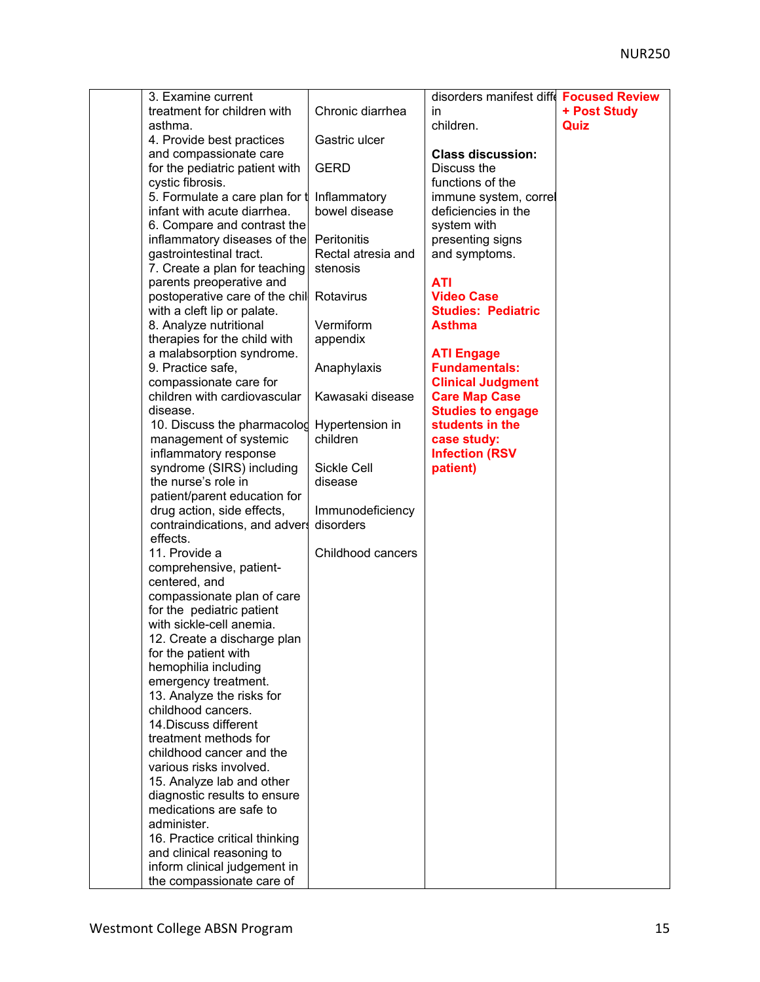| 3. Examine current             |                    | disorders manifest diff   | <b>Focused Review</b> |
|--------------------------------|--------------------|---------------------------|-----------------------|
| treatment for children with    | Chronic diarrhea   | in                        | + Post Study          |
| asthma.                        |                    | children.                 | Quiz                  |
| 4. Provide best practices      | Gastric ulcer      |                           |                       |
| and compassionate care         |                    | <b>Class discussion:</b>  |                       |
| for the pediatric patient with | <b>GERD</b>        | Discuss the               |                       |
| cystic fibrosis.               |                    | functions of the          |                       |
| 5. Formulate a care plan for t | Inflammatory       | immune system, correl     |                       |
| infant with acute diarrhea.    | bowel disease      | deficiencies in the       |                       |
| 6. Compare and contrast the    |                    | system with               |                       |
| inflammatory diseases of the   | Peritonitis        | presenting signs          |                       |
| gastrointestinal tract.        | Rectal atresia and | and symptoms.             |                       |
| 7. Create a plan for teaching  | stenosis           |                           |                       |
| parents preoperative and       |                    | <b>ATI</b>                |                       |
| postoperative care of the chil | Rotavirus          | <b>Video Case</b>         |                       |
| with a cleft lip or palate.    |                    | <b>Studies: Pediatric</b> |                       |
| 8. Analyze nutritional         | Vermiform          | <b>Asthma</b>             |                       |
| therapies for the child with   | appendix           |                           |                       |
| a malabsorption syndrome.      |                    | <b>ATI Engage</b>         |                       |
| 9. Practice safe,              | Anaphylaxis        | <b>Fundamentals:</b>      |                       |
| compassionate care for         |                    | <b>Clinical Judgment</b>  |                       |
| children with cardiovascular   | Kawasaki disease   | <b>Care Map Case</b>      |                       |
| disease.                       |                    | <b>Studies to engage</b>  |                       |
| 10. Discuss the pharmacolog    | Hypertension in    | students in the           |                       |
| management of systemic         | children           | case study:               |                       |
| inflammatory response          |                    | <b>Infection (RSV</b>     |                       |
| syndrome (SIRS) including      | Sickle Cell        | patient)                  |                       |
| the nurse's role in            | disease            |                           |                       |
| patient/parent education for   |                    |                           |                       |
| drug action, side effects,     | Immunodeficiency   |                           |                       |
| contraindications, and advers  | disorders          |                           |                       |
| effects.                       |                    |                           |                       |
| 11. Provide a                  | Childhood cancers  |                           |                       |
| comprehensive, patient-        |                    |                           |                       |
| centered, and                  |                    |                           |                       |
| compassionate plan of care     |                    |                           |                       |
| for the pediatric patient      |                    |                           |                       |
| with sickle-cell anemia.       |                    |                           |                       |
| 12. Create a discharge plan    |                    |                           |                       |
| for the patient with           |                    |                           |                       |
| hemophilia including           |                    |                           |                       |
| emergency treatment.           |                    |                           |                       |
| 13. Analyze the risks for      |                    |                           |                       |
| childhood cancers.             |                    |                           |                       |
| 14. Discuss different          |                    |                           |                       |
| treatment methods for          |                    |                           |                       |
| childhood cancer and the       |                    |                           |                       |
| various risks involved.        |                    |                           |                       |
| 15. Analyze lab and other      |                    |                           |                       |
| diagnostic results to ensure   |                    |                           |                       |
| medications are safe to        |                    |                           |                       |
| administer.                    |                    |                           |                       |
| 16. Practice critical thinking |                    |                           |                       |
| and clinical reasoning to      |                    |                           |                       |
| inform clinical judgement in   |                    |                           |                       |
| the compassionate care of      |                    |                           |                       |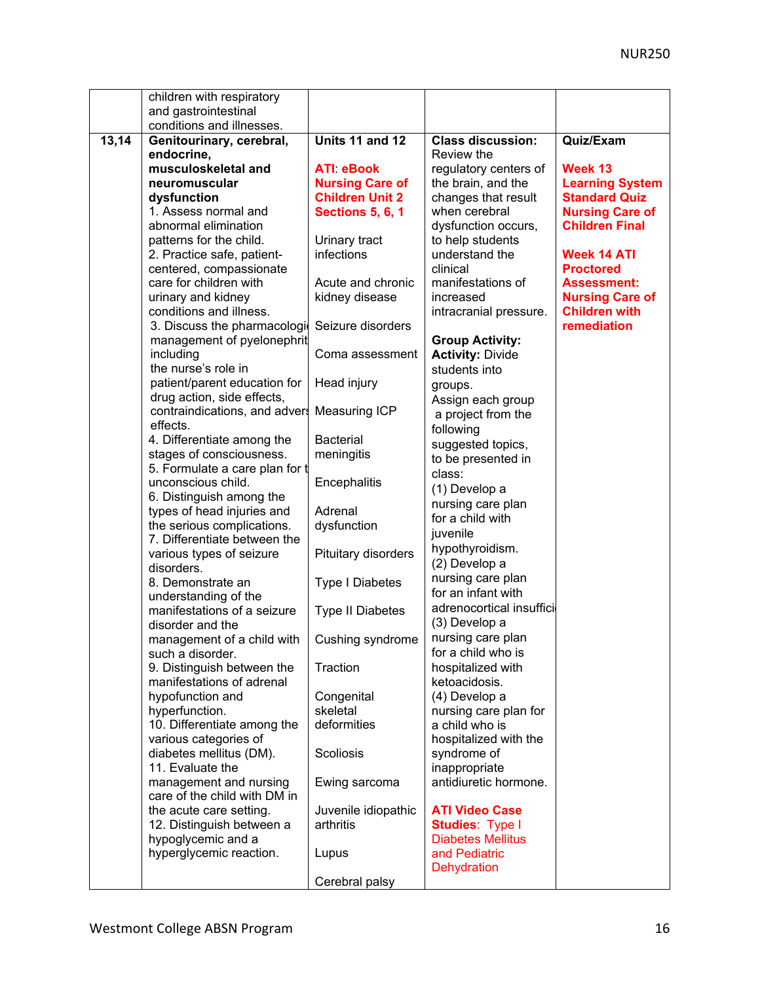|       | children with respiratory                                 |                         |                                        |                                                |
|-------|-----------------------------------------------------------|-------------------------|----------------------------------------|------------------------------------------------|
|       | and gastrointestinal                                      |                         |                                        |                                                |
|       | conditions and illnesses.                                 |                         |                                        |                                                |
| 13,14 | Genitourinary, cerebral,<br>endocrine,                    | Units 11 and 12         | <b>Class discussion:</b><br>Review the | Quiz/Exam                                      |
|       | musculoskeletal and                                       | <b>ATI eBook</b>        | regulatory centers of                  | Week 13                                        |
|       | neuromuscular                                             | <b>Nursing Care of</b>  | the brain, and the                     | <b>Learning System</b>                         |
|       | dysfunction                                               | <b>Children Unit 2</b>  | changes that result                    | <b>Standard Quiz</b>                           |
|       | 1. Assess normal and                                      | <b>Sections 5, 6, 1</b> | when cerebral                          | <b>Nursing Care of</b>                         |
|       | abnormal elimination                                      |                         | dysfunction occurs,                    | <b>Children Final</b>                          |
|       | patterns for the child.                                   | Urinary tract           | to help students                       |                                                |
|       | 2. Practice safe, patient-                                | infections              | understand the                         | <b>Week 14 ATI</b>                             |
|       | centered, compassionate                                   |                         | clinical                               | <b>Proctored</b>                               |
|       | care for children with                                    | Acute and chronic       | manifestations of                      | <b>Assessment:</b>                             |
|       | urinary and kidney<br>conditions and illness.             | kidney disease          | increased<br>intracranial pressure.    | <b>Nursing Care of</b><br><b>Children with</b> |
|       | 3. Discuss the pharmacologi<br>management of pyelonephrit | Seizure disorders       | <b>Group Activity:</b>                 | remediation                                    |
|       | including                                                 | Coma assessment         | <b>Activity: Divide</b>                |                                                |
|       | the nurse's role in                                       |                         | students into                          |                                                |
|       | patient/parent education for                              | Head injury             | groups.                                |                                                |
|       | drug action, side effects,                                |                         | Assign each group                      |                                                |
|       | contraindications, and advers                             | <b>Measuring ICP</b>    | a project from the                     |                                                |
|       | effects.                                                  |                         | following                              |                                                |
|       | 4. Differentiate among the                                | <b>Bacterial</b>        | suggested topics,                      |                                                |
|       | stages of consciousness.                                  | meningitis              | to be presented in                     |                                                |
|       | 5. Formulate a care plan for t<br>unconscious child.      | Encephalitis            | class:                                 |                                                |
|       | 6. Distinguish among the                                  |                         | (1) Develop a                          |                                                |
|       | types of head injuries and                                | Adrenal                 | nursing care plan                      |                                                |
|       | the serious complications.                                | dysfunction             | for a child with                       |                                                |
|       | 7. Differentiate between the                              |                         | juvenile                               |                                                |
|       | various types of seizure                                  | Pituitary disorders     | hypothyroidism.<br>(2) Develop a       |                                                |
|       | disorders.<br>8. Demonstrate an                           | <b>Type I Diabetes</b>  | nursing care plan                      |                                                |
|       | understanding of the                                      |                         | for an infant with                     |                                                |
|       | manifestations of a seizure                               | <b>Type II Diabetes</b> | adrenocortical insuffici               |                                                |
|       | disorder and the                                          |                         | (3) Develop a                          |                                                |
|       | management of a child with                                | Cushing syndrome        | nursing care plan                      |                                                |
|       | such a disorder.                                          |                         | for a child who is                     |                                                |
|       | 9. Distinguish between the                                | Traction                | hospitalized with                      |                                                |
|       | manifestations of adrenal                                 |                         | ketoacidosis.                          |                                                |
|       | hypofunction and<br>hyperfunction.                        | Congenital<br>skeletal  | (4) Develop a<br>nursing care plan for |                                                |
|       | 10. Differentiate among the                               | deformities             | a child who is                         |                                                |
|       | various categories of                                     |                         | hospitalized with the                  |                                                |
|       | diabetes mellitus (DM).                                   | Scoliosis               | syndrome of                            |                                                |
|       | 11. Evaluate the                                          |                         | inappropriate                          |                                                |
|       | management and nursing<br>care of the child with DM in    | Ewing sarcoma           | antidiuretic hormone.                  |                                                |
|       | the acute care setting.                                   | Juvenile idiopathic     | <b>ATI Video Case</b>                  |                                                |
|       | 12. Distinguish between a                                 | arthritis               | <b>Studies: Type I</b>                 |                                                |
|       | hypoglycemic and a                                        |                         | <b>Diabetes Mellitus</b>               |                                                |
|       | hyperglycemic reaction.                                   | Lupus                   | and Pediatric                          |                                                |
|       |                                                           |                         | <b>Dehydration</b>                     |                                                |
|       |                                                           | Cerebral palsy          |                                        |                                                |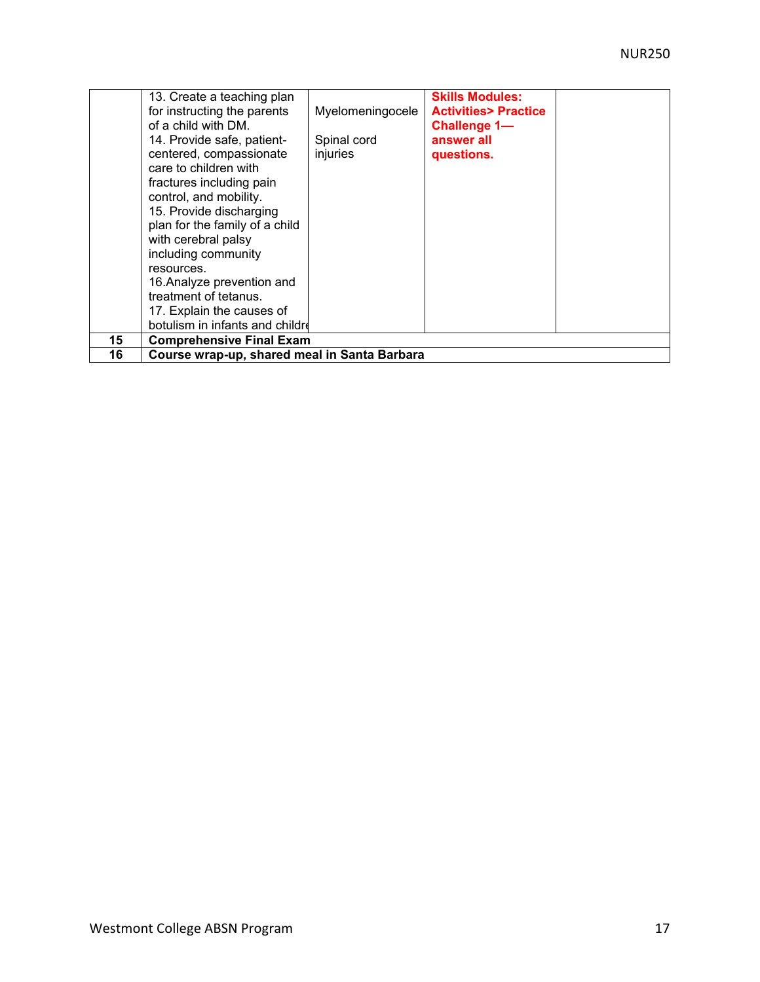|    | 13. Create a teaching plan                   |                  | <b>Skills Modules:</b>         |  |
|----|----------------------------------------------|------------------|--------------------------------|--|
|    | for instructing the parents                  | Myelomeningocele | <b>Activities&gt; Practice</b> |  |
|    | of a child with DM.                          |                  | Challenge 1-                   |  |
|    | 14. Provide safe, patient-                   | Spinal cord      | answer all                     |  |
|    | centered, compassionate                      | injuries         | questions.                     |  |
|    | care to children with                        |                  |                                |  |
|    | fractures including pain                     |                  |                                |  |
|    | control, and mobility.                       |                  |                                |  |
|    | 15. Provide discharging                      |                  |                                |  |
|    | plan for the family of a child               |                  |                                |  |
|    | with cerebral palsy                          |                  |                                |  |
|    | including community                          |                  |                                |  |
|    | resources.                                   |                  |                                |  |
|    | 16. Analyze prevention and                   |                  |                                |  |
|    | treatment of tetanus.                        |                  |                                |  |
|    | 17. Explain the causes of                    |                  |                                |  |
|    | botulism in infants and childre              |                  |                                |  |
| 15 | <b>Comprehensive Final Exam</b>              |                  |                                |  |
| 16 | Course wrap-up, shared meal in Santa Barbara |                  |                                |  |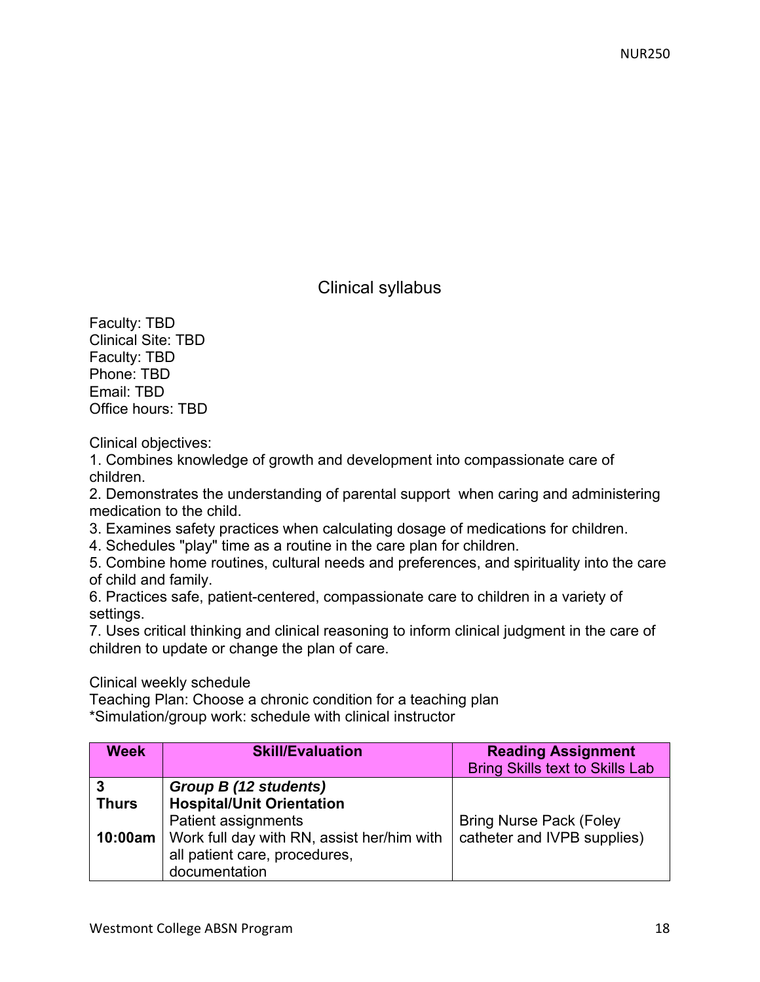# Clinical syllabus

Faculty: TBD Clinical Site: TBD Faculty: TBD Phone: TBD Email: TBD Office hours: TBD

Clinical objectives:

1. Combines knowledge of growth and development into compassionate care of children.

2. Demonstrates the understanding of parental support when caring and administering medication to the child.

3. Examines safety practices when calculating dosage of medications for children.

4. Schedules "play" time as a routine in the care plan for children.

5. Combine home routines, cultural needs and preferences, and spirituality into the care of child and family.

6. Practices safe, patient-centered, compassionate care to children in a variety of settings.

7. Uses critical thinking and clinical reasoning to inform clinical judgment in the care of children to update or change the plan of care.

## Clinical weekly schedule

Teaching Plan: Choose a chronic condition for a teaching plan \*Simulation/group work: schedule with clinical instructor

| <b>Week</b>                  | <b>Skill/Evaluation</b>                                                                                                                                                          | <b>Reading Assignment</b><br><b>Bring Skills text to Skills Lab</b> |
|------------------------------|----------------------------------------------------------------------------------------------------------------------------------------------------------------------------------|---------------------------------------------------------------------|
| 3<br><b>Thurs</b><br>10:00am | Group B (12 students)<br><b>Hospital/Unit Orientation</b><br>Patient assignments<br>Work full day with RN, assist her/him with<br>all patient care, procedures,<br>documentation | <b>Bring Nurse Pack (Foley</b><br>catheter and IVPB supplies)       |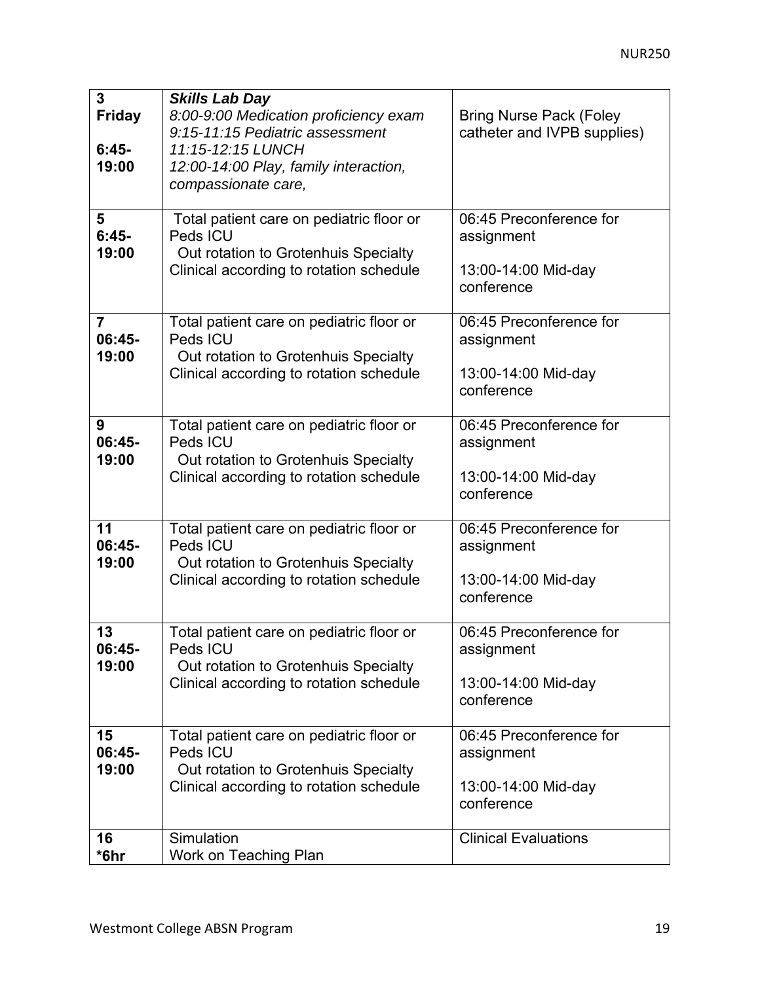| $\overline{3}$<br><b>Friday</b><br>$6:45-$<br>19:00 | <b>Skills Lab Day</b><br>8:00-9:00 Medication proficiency exam<br>9:15-11:15 Pediatric assessment<br>11:15-12:15 LUNCH<br>12:00-14:00 Play, family interaction,<br>compassionate care, | <b>Bring Nurse Pack (Foley</b><br>catheter and IVPB supplies)              |
|-----------------------------------------------------|----------------------------------------------------------------------------------------------------------------------------------------------------------------------------------------|----------------------------------------------------------------------------|
| 5<br>$6:45-$<br>19:00                               | Total patient care on pediatric floor or<br>Peds ICU<br>Out rotation to Grotenhuis Specialty<br>Clinical according to rotation schedule                                                | 06:45 Preconference for<br>assignment<br>13:00-14:00 Mid-day<br>conference |
| $\overline{7}$<br>$06:45-$<br>19:00                 | Total patient care on pediatric floor or<br>Peds ICU<br>Out rotation to Grotenhuis Specialty<br>Clinical according to rotation schedule                                                | 06:45 Preconference for<br>assignment<br>13:00-14:00 Mid-day<br>conference |
| 9<br>$06:45-$<br>19:00                              | Total patient care on pediatric floor or<br>Peds ICU<br>Out rotation to Grotenhuis Specialty<br>Clinical according to rotation schedule                                                | 06:45 Preconference for<br>assignment<br>13:00-14:00 Mid-day<br>conference |
| 11<br>$06:45-$<br>19:00                             | Total patient care on pediatric floor or<br>Peds ICU<br>Out rotation to Grotenhuis Specialty<br>Clinical according to rotation schedule                                                | 06:45 Preconference for<br>assignment<br>13:00-14:00 Mid-day<br>conference |
| 13<br>06:45-<br>19:00                               | Total patient care on pediatric floor or<br>Peds ICU<br>Out rotation to Grotenhuis Specialty<br>Clinical according to rotation schedule                                                | 06:45 Preconference for<br>assignment<br>13:00-14:00 Mid-day<br>conference |
| 15<br>$06:45-$<br>19:00                             | Total patient care on pediatric floor or<br>Peds ICU<br>Out rotation to Grotenhuis Specialty<br>Clinical according to rotation schedule                                                | 06:45 Preconference for<br>assignment<br>13:00-14:00 Mid-day<br>conference |
| 16<br>*6hr                                          | Simulation<br>Work on Teaching Plan                                                                                                                                                    | <b>Clinical Evaluations</b>                                                |